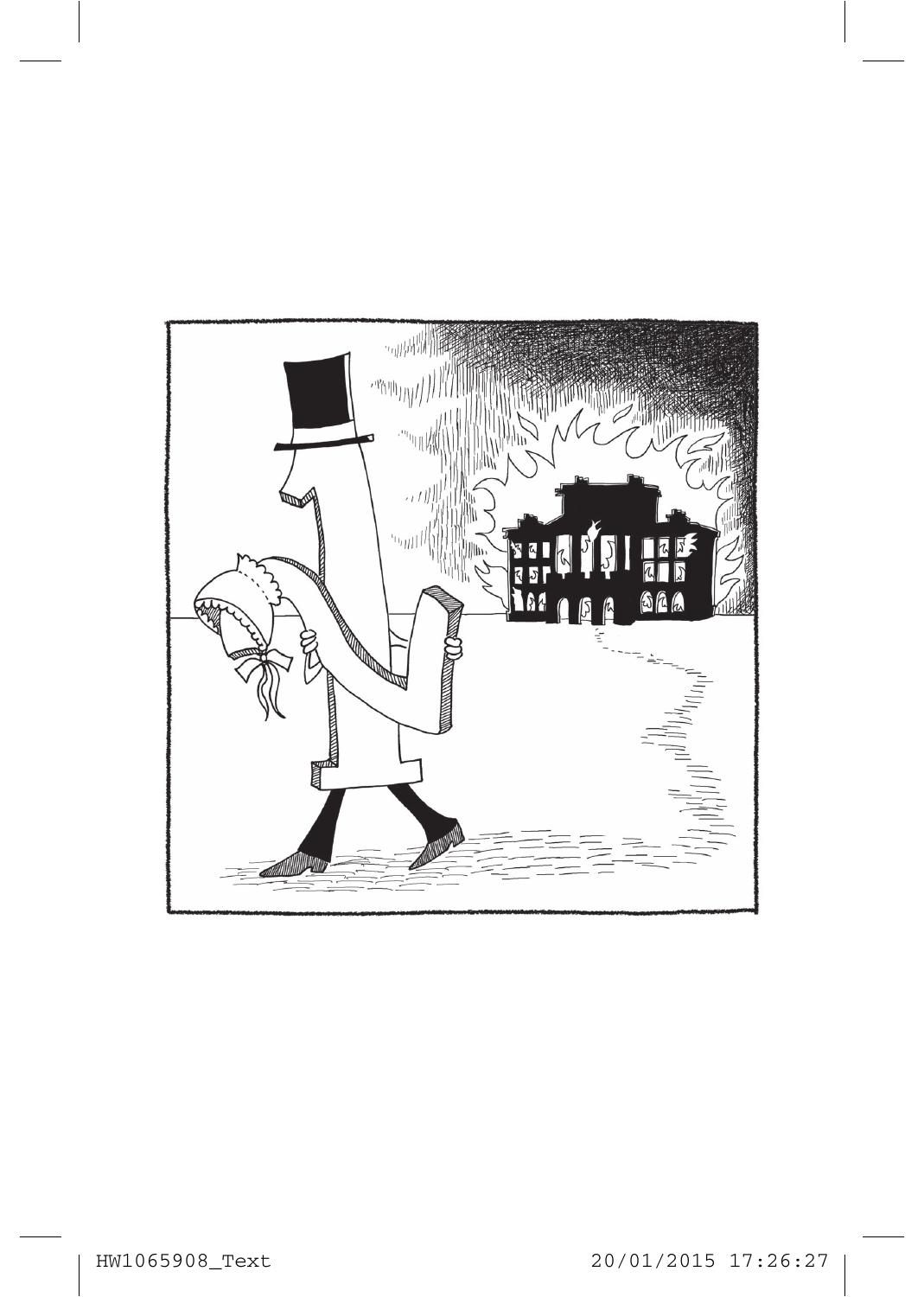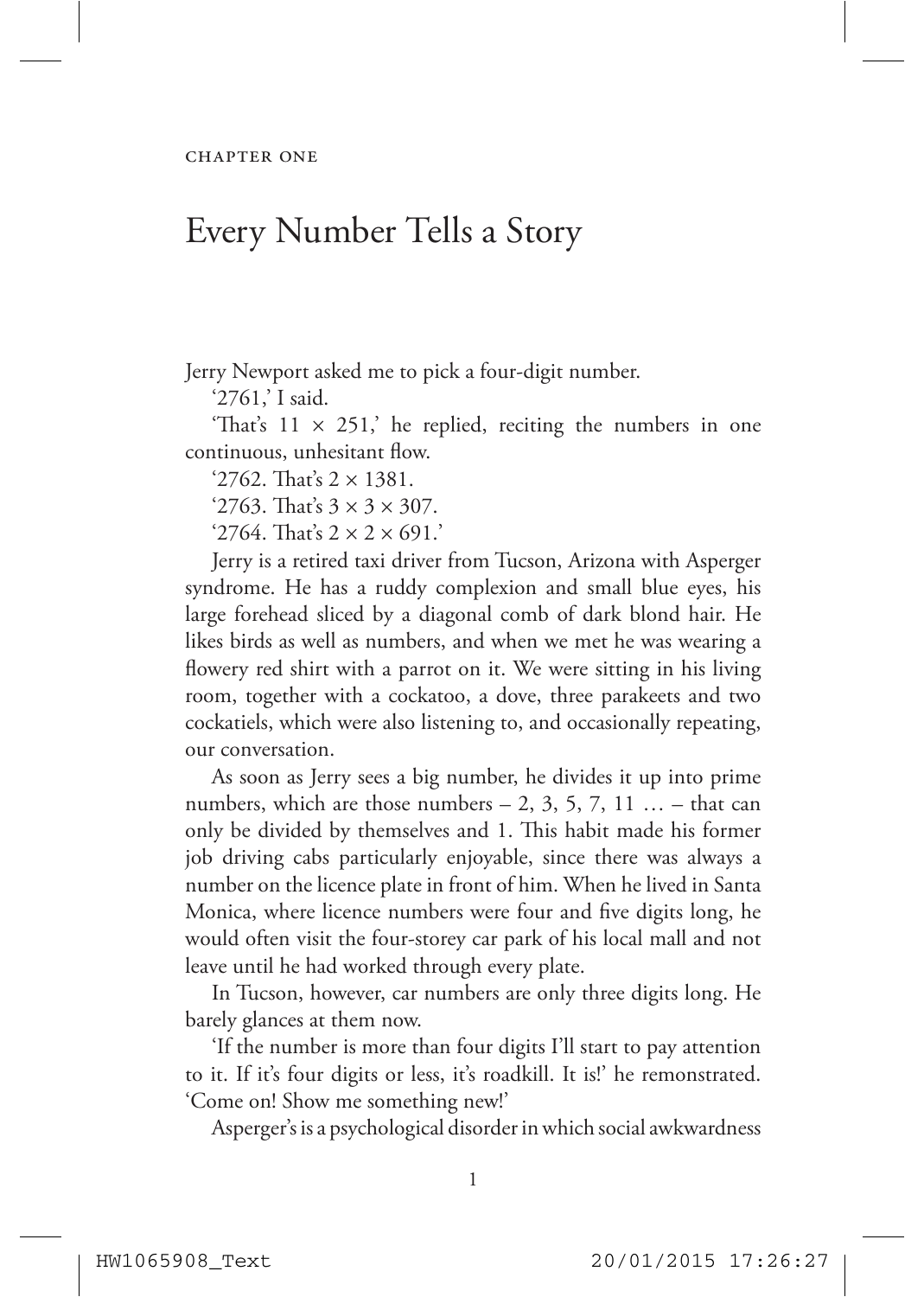# Every Number Tells a Story

Jerry Newport asked me to pick a four-digit number.

'2761,' I said.

'That's  $11 \times 251$ ,' he replied, reciting the numbers in one continuous, unhesitant flow.

'2762. That's  $2 \times 1381$ .

'2763. That's  $3 \times 3 \times 307$ .

'2764. That's  $2 \times 2 \times 691$ .'

Jerry is a retired taxi driver from Tucson, Arizona with Asperger syndrome. He has a ruddy complexion and small blue eyes, his large forehead sliced by a diagonal comb of dark blond hair. He likes birds as well as numbers, and when we met he was wearing a flowery red shirt with a parrot on it. We were sitting in his living room, together with a cockatoo, a dove, three parakeets and two cockatiels, which were also listening to, and occasionally repeating, our conversation.

As soon as Jerry sees a big number, he divides it up into prime numbers, which are those numbers  $-2$ , 3, 5, 7, 11 ...  $-$  that can only be divided by themselves and 1. This habit made his former job driving cabs particularly enjoyable, since there was always a number on the licence plate in front of him. When he lived in Santa Monica, where licence numbers were four and five digits long, he would often visit the four-storey car park of his local mall and not leave until he had worked through every plate.

In Tucson, however, car numbers are only three digits long. He barely glances at them now.

'If the number is more than four digits I'll start to pay attention to it. If it's four digits or less, it's roadkill. It is!' he remonstrated. 'Come on! Show me something new!'

Asperger's is a psychological disorder in which social awkwardness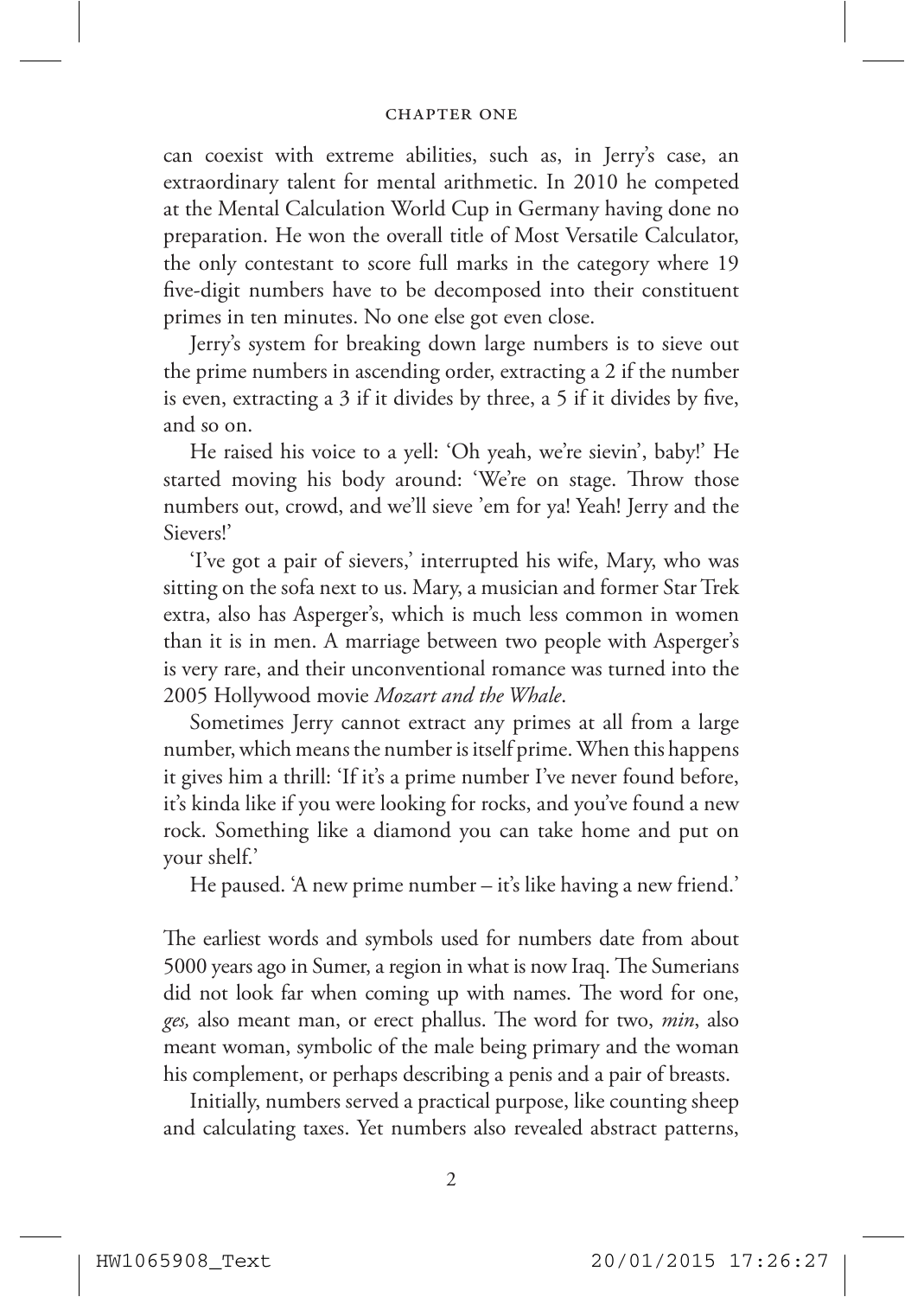can coexist with extreme abilities, such as, in Jerry's case, an extraordinary talent for mental arithmetic. In 2010 he competed at the Mental Calculation World Cup in Germany having done no preparation. He won the overall title of Most Versatile Calculator, the only contestant to score full marks in the category where 19 five-digit numbers have to be decomposed into their constituent primes in ten minutes. No one else got even close.

Jerry's system for breaking down large numbers is to sieve out the prime numbers in ascending order, extracting a 2 if the number is even, extracting a 3 if it divides by three, a 5 if it divides by five, and so on.

He raised his voice to a yell: 'Oh yeah, we're sievin', baby!' He started moving his body around: 'We're on stage. Throw those numbers out, crowd, and we'll sieve 'em for ya! Yeah! Jerry and the Sievers!'

'I've got a pair of sievers,' interrupted his wife, Mary, who was sitting on the sofa next to us. Mary, a musician and former Star Trek extra, also has Asperger's, which is much less common in women than it is in men. A marriage between two people with Asperger's is very rare, and their unconventional romance was turned into the 2005 Hollywood movie *Mozart and the Whale*.

Sometimes Jerry cannot extract any primes at all from a large number, which means the number is itself prime.When this happens it gives him a thrill: 'If it's a prime number I've never found before, it's kinda like if you were looking for rocks, and you've found a new rock. Something like a diamond you can take home and put on your shelf.'

He paused. 'A new prime number – it's like having a new friend.'

The earliest words and symbols used for numbers date from about 5000 years ago in Sumer, a region in what is now Iraq. The Sumerians did not look far when coming up with names. The word for one, ges, also meant man, or erect phallus. The word for two, *min*, also meant woman, symbolic of the male being primary and the woman his complement, or perhaps describing a penis and a pair of breasts.

Initially, numbers served a practical purpose, like counting sheep and calculating taxes. Yet numbers also revealed abstract patterns,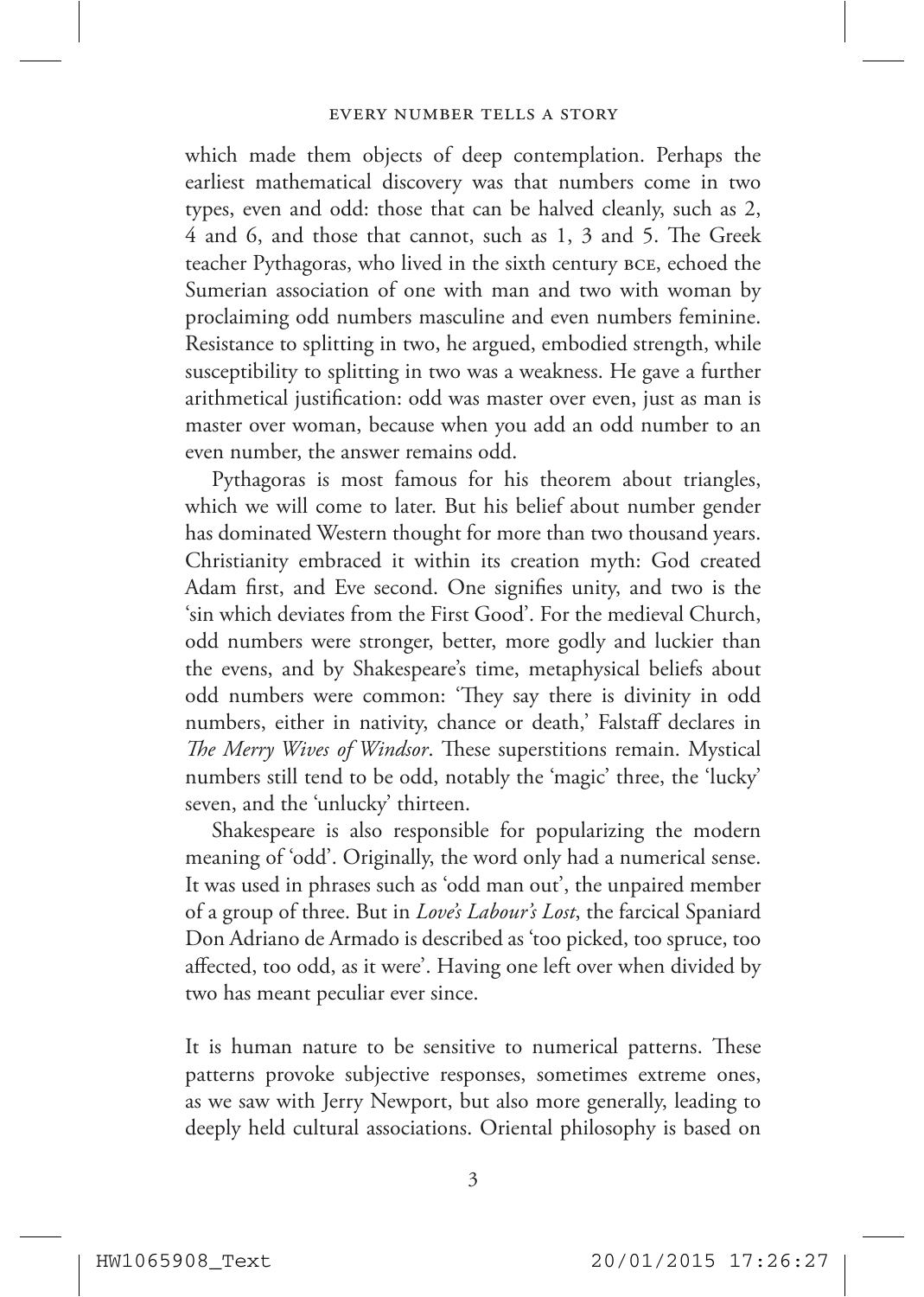which made them objects of deep contemplation. Perhaps the earliest mathematical discovery was that numbers come in two types, even and odd: those that can be halved cleanly, such as 2, 4 and 6, and those that cannot, such as 1, 3 and 5. The Greek teacher Pythagoras, who lived in the sixth century BCE, echoed the Sumerian association of one with man and two with woman by proclaiming odd numbers masculine and even numbers feminine. Resistance to splitting in two, he argued, embodied strength, while susceptibility to splitting in two was a weakness. He gave a further arithmetical justification: odd was master over even, just as man is master over woman, because when you add an odd number to an even number, the answer remains odd.

Pythagoras is most famous for his theorem about triangles, which we will come to later. But his belief about number gender has dominated Western thought for more than two thousand years. Christianity embraced it within its creation myth: God created Adam first, and Eve second. One signifies unity, and two is the 'sin which deviates from the First Good'. For the medieval Church, odd numbers were stronger, better, more godly and luckier than the evens, and by Shakespeare's time, metaphysical beliefs about odd numbers were common: 'They say there is divinity in odd numbers, either in nativity, chance or death,' Falstaff declares in *The Merry Wives of Windsor*. These superstitions remain. Mystical numbers still tend to be odd, notably the 'magic' three, the 'lucky' seven, and the 'unlucky' thirteen.

Shakespeare is also responsible for popularizing the modern meaning of 'odd'. Originally, the word only had a numerical sense. It was used in phrases such as 'odd man out', the unpaired member of a group of three. But in *Love's Labour's Lost*, the farcical Spaniard Don Adriano de Armado is described as 'too picked, too spruce, too affected, too odd, as it were'. Having one left over when divided by two has meant peculiar ever since.

It is human nature to be sensitive to numerical patterns. These patterns provoke subjective responses, sometimes extreme ones, as we saw with Jerry Newport, but also more generally, leading to deeply held cultural associations. Oriental philosophy is based on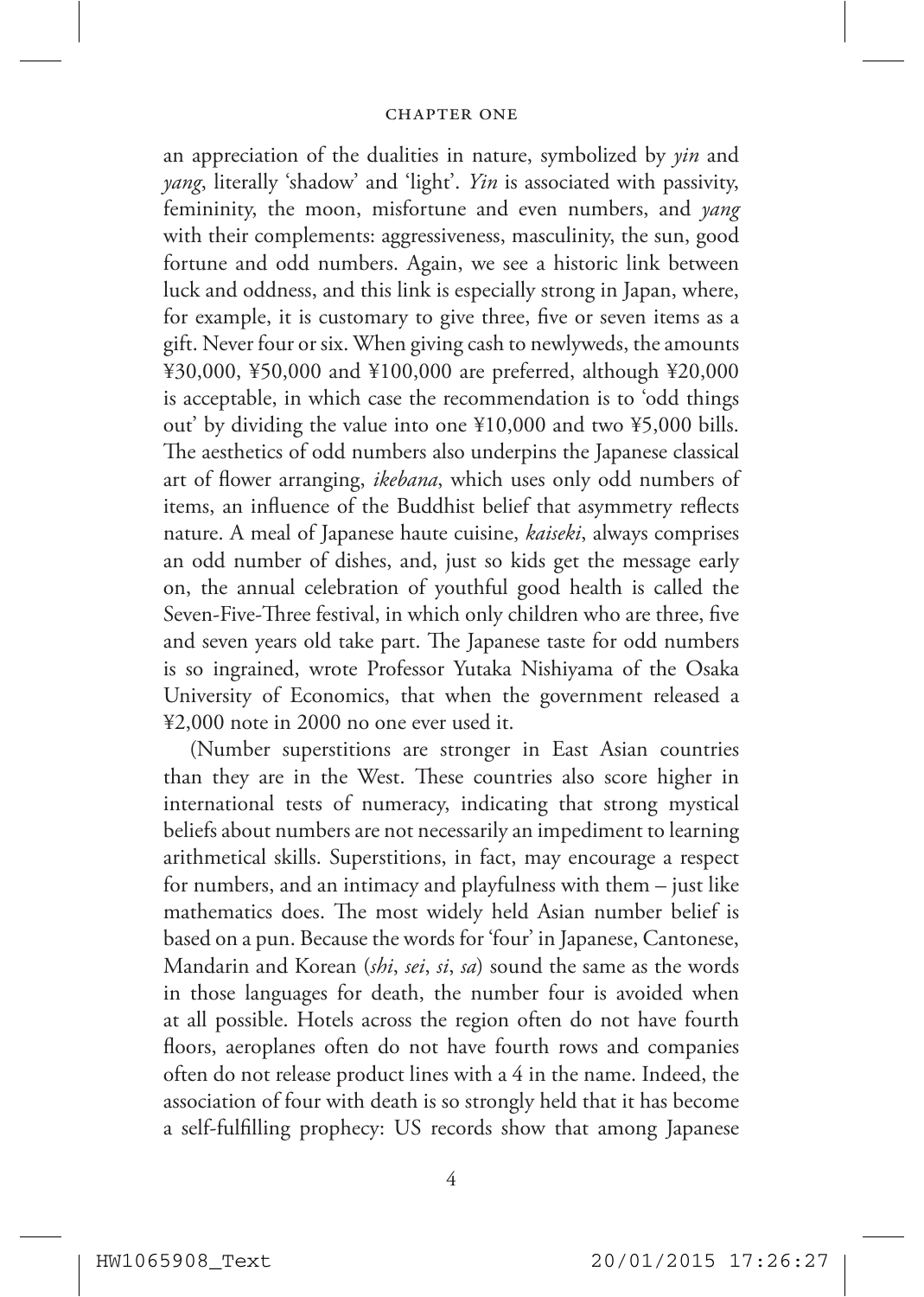an appreciation of the dualities in nature, symbolized by *yin* and *yang*, literally 'shadow' and 'light'. *Yin* is associated with passivity, femininity, the moon, misfortune and even numbers, and *yang* with their complements: aggressiveness, masculinity, the sun, good fortune and odd numbers. Again, we see a historic link between luck and oddness, and this link is especially strong in Japan, where, for example, it is customary to give three, five or seven items as a gift. Never four or six. When giving cash to newlyweds, the amounts ¥30,000, ¥50,000 and ¥100,000 are preferred, although ¥20,000 is acceptable, in which case the recommendation is to 'odd things out' by dividing the value into one ¥10,000 and two ¥5,000 bills. The aesthetics of odd numbers also underpins the Japanese classical art of flower arranging, *ikebana*, which uses only odd numbers of items, an influence of the Buddhist belief that asymmetry reflects nature. A meal of Japanese haute cuisine, *kaiseki*, always comprises an odd number of dishes, and, just so kids get the message early on, the annual celebration of youthful good health is called the Seven-Five-Three festival, in which only children who are three, five and seven years old take part. The Japanese taste for odd numbers is so ingrained, wrote Professor Yutaka Nishiyama of the Osaka University of Economics, that when the government released a ¥2,000 note in 2000 no one ever used it.

(Number superstitions are stronger in East Asian countries than they are in the West. These countries also score higher in international tests of numeracy, indicating that strong mystical beliefs about numbers are not necessarily an impediment to learning arithmetical skills. Superstitions, in fact, may encourage a respect for numbers, and an intimacy and playfulness with them – just like mathematics does. The most widely held Asian number belief is based on a pun. Because the words for 'four' in Japanese, Cantonese, Mandarin and Korean (*shi*, *sei*, *si*, *sa*) sound the same as the words in those languages for death, the number four is avoided when at all possible. Hotels across the region often do not have fourth floors, aeroplanes often do not have fourth rows and companies often do not release product lines with a 4 in the name. Indeed, the association of four with death is so strongly held that it has become a self-fulfilling prophecy: US records show that among Japanese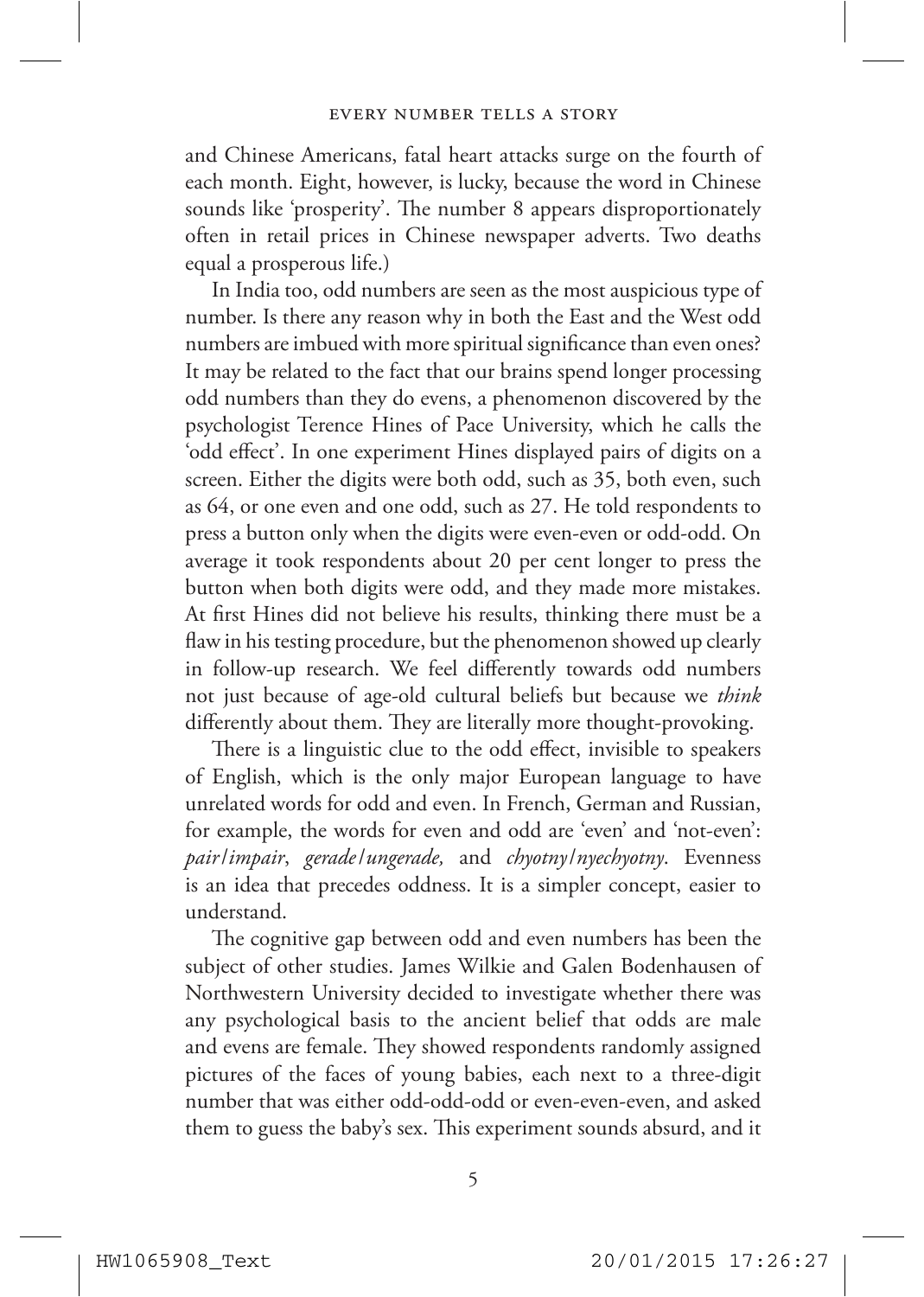and Chinese Americans, fatal heart attacks surge on the fourth of each month. Eight, however, is lucky, because the word in Chinese sounds like 'prosperity'. The number 8 appears disproportionately often in retail prices in Chinese newspaper adverts. Two deaths equal a prosperous life.)

In India too, odd numbers are seen as the most auspicious type of number. Is there any reason why in both the East and the West odd numbers are imbued with more spiritual significance than even ones? It may be related to the fact that our brains spend longer processing odd numbers than they do evens, a phenomenon discovered by the psychologist Terence Hines of Pace University, which he calls the 'odd effect'. In one experiment Hines displayed pairs of digits on a screen. Either the digits were both odd, such as 35, both even, such as 64, or one even and one odd, such as 27. He told respondents to press a button only when the digits were even-even or odd-odd. On average it took respondents about 20 per cent longer to press the button when both digits were odd, and they made more mistakes. At first Hines did not believe his results, thinking there must be a flaw in his testing procedure, but the phenomenon showed up clearly in follow-up research. We feel differently towards odd numbers not just because of age-old cultural beliefs but because we *think* differently about them. They are literally more thought-provoking.

There is a linguistic clue to the odd effect, invisible to speakers of English, which is the only major European language to have unrelated words for odd and even. In French, German and Russian, for example, the words for even and odd are 'even' and 'not-even': *pair*/*impair*, *gerade*/*ungerade,* and *chyotny*/*nyechyotny*. Evenness is an idea that precedes oddness. It is a simpler concept, easier to understand.

The cognitive gap between odd and even numbers has been the subject of other studies. James Wilkie and Galen Bodenhausen of Northwestern University decided to investigate whether there was any psychological basis to the ancient belief that odds are male and evens are female. They showed respondents randomly assigned pictures of the faces of young babies, each next to a three-digit number that was either odd-odd-odd or even-even-even, and asked them to guess the baby's sex. This experiment sounds absurd, and it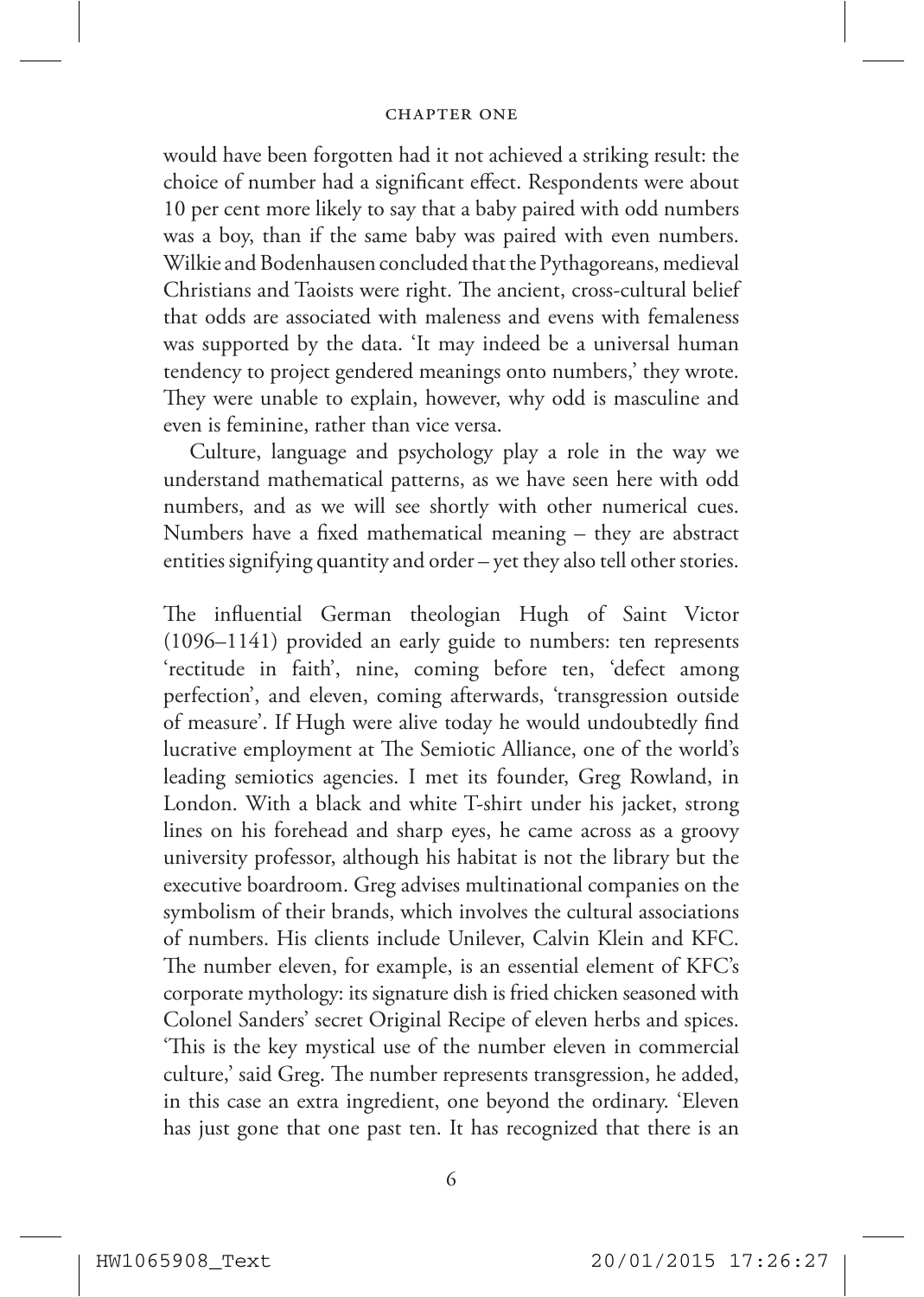## CHAPTER ONE

would have been forgotten had it not achieved a striking result: the choice of number had a significant effect. Respondents were about 10 per cent more likely to say that a baby paired with odd numbers was a boy, than if the same baby was paired with even numbers. Wilkie and Bodenhausen concluded that the Pythagoreans, medieval Christians and Taoists were right. The ancient, cross-cultural belief that odds are associated with maleness and evens with femaleness was supported by the data. 'It may indeed be a universal human tendency to project gendered meanings onto numbers,' they wrote. They were unable to explain, however, why odd is masculine and even is feminine, rather than vice versa.

Culture, language and psychology play a role in the way we understand mathematical patterns, as we have seen here with odd numbers, and as we will see shortly with other numerical cues. Numbers have a fixed mathematical meaning – they are abstract entities signifying quantity and order – yet they also tell other stories.

The influential German theologian Hugh of Saint Victor (1096–1141) provided an early guide to numbers: ten represents 'rectitude in faith', nine, coming before ten, 'defect among perfection', and eleven, coming afterwards, 'transgression outside of measure'. If Hugh were alive today he would undoubtedly find lucrative employment at The Semiotic Alliance, one of the world's leading semiotics agencies. I met its founder, Greg Rowland, in London. With a black and white T-shirt under his jacket, strong lines on his forehead and sharp eyes, he came across as a groovy university professor, although his habitat is not the library but the executive boardroom. Greg advises multinational companies on the symbolism of their brands, which involves the cultural associations of numbers. His clients include Unilever, Calvin Klein and KFC. The number eleven, for example, is an essential element of KFC's corporate mythology: its signature dish is fried chicken seasoned with Colonel Sanders' secret Original Recipe of eleven herbs and spices. 'This is the key mystical use of the number eleven in commercial culture,' said Greg. The number represents transgression, he added, in this case an extra ingredient, one beyond the ordinary. 'Eleven has just gone that one past ten. It has recognized that there is an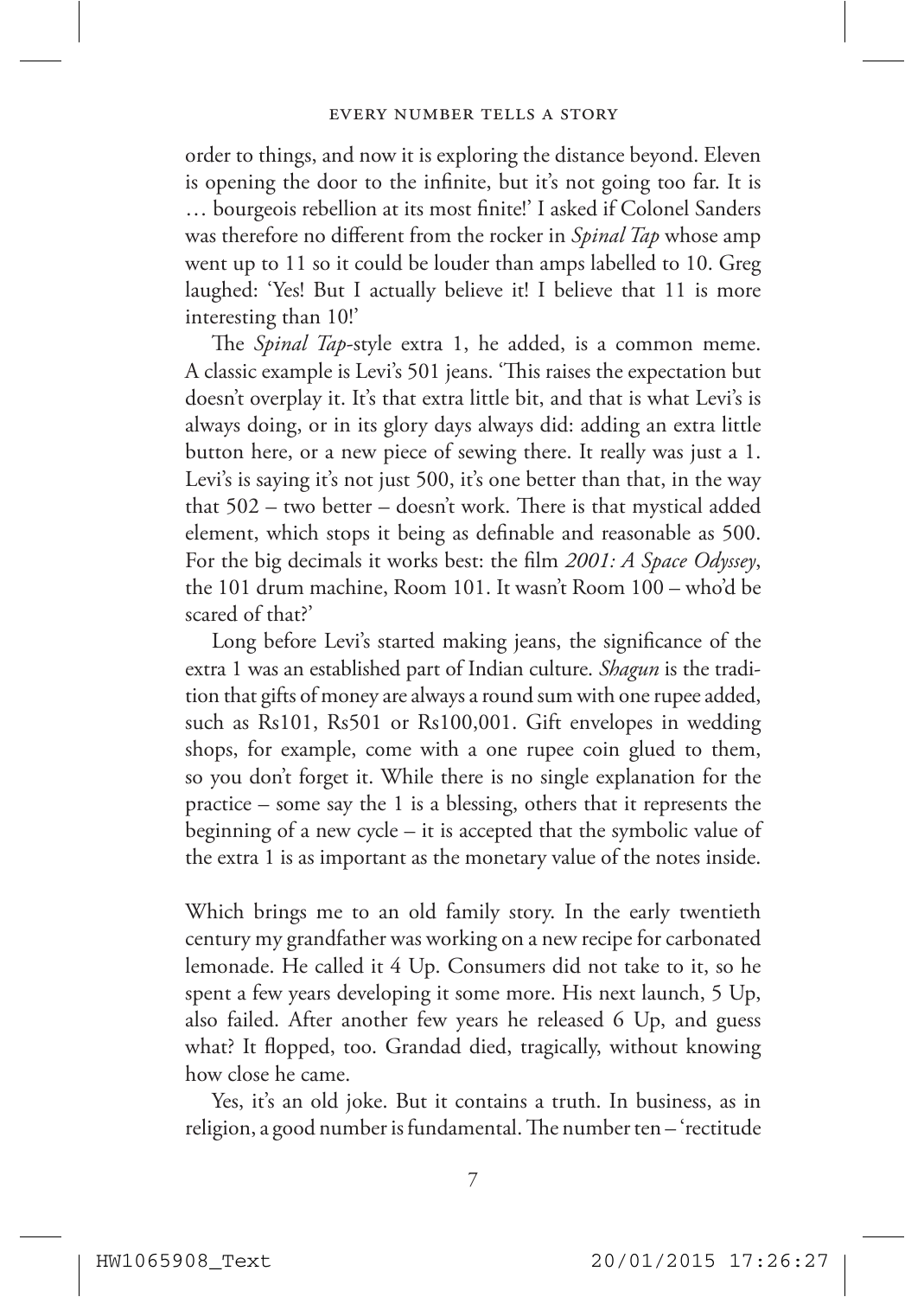order to things, and now it is exploring the distance beyond. Eleven is opening the door to the infinite, but it's not going too far. It is … bourgeois rebellion at its most finite!' I asked if Colonel Sanders was therefore no different from the rocker in *Spinal Tap* whose amp went up to 11 so it could be louder than amps labelled to 10. Greg laughed: 'Yes! But I actually believe it! I believe that 11 is more interesting than 10!'

The *Spinal Tap*-style extra 1, he added, is a common meme. A classic example is Levi's 501 jeans. 'This raises the expectation but doesn't overplay it. It's that extra little bit, and that is what Levi's is always doing, or in its glory days always did: adding an extra little button here, or a new piece of sewing there. It really was just a 1. Levi's is saying it's not just 500, it's one better than that, in the way that  $502 -$  two better – doesn't work. There is that mystical added element, which stops it being as definable and reasonable as 500. For the big decimals it works best: the film *2001: A Space Odyssey*, the 101 drum machine, Room 101. It wasn't Room 100 – who'd be scared of that?'

Long before Levi's started making jeans, the significance of the extra 1 was an established part of Indian culture. *Shagun* is the tradition that gifts of money are always a round sum with one rupee added, such as Rs101, Rs501 or Rs100,001. Gift envelopes in wedding shops, for example, come with a one rupee coin glued to them, so you don't forget it. While there is no single explanation for the practice – some say the 1 is a blessing, others that it represents the beginning of a new cycle – it is accepted that the symbolic value of the extra 1 is as important as the monetary value of the notes inside.

Which brings me to an old family story. In the early twentieth century my grandfather was working on a new recipe for carbonated lemonade. He called it 4 Up. Consumers did not take to it, so he spent a few years developing it some more. His next launch, 5 Up, also failed. After another few years he released 6 Up, and guess what? It flopped, too. Grandad died, tragically, without knowing how close he came.

Yes, it's an old joke. But it contains a truth. In business, as in religion, a good number is fundamental. The number ten – 'rectitude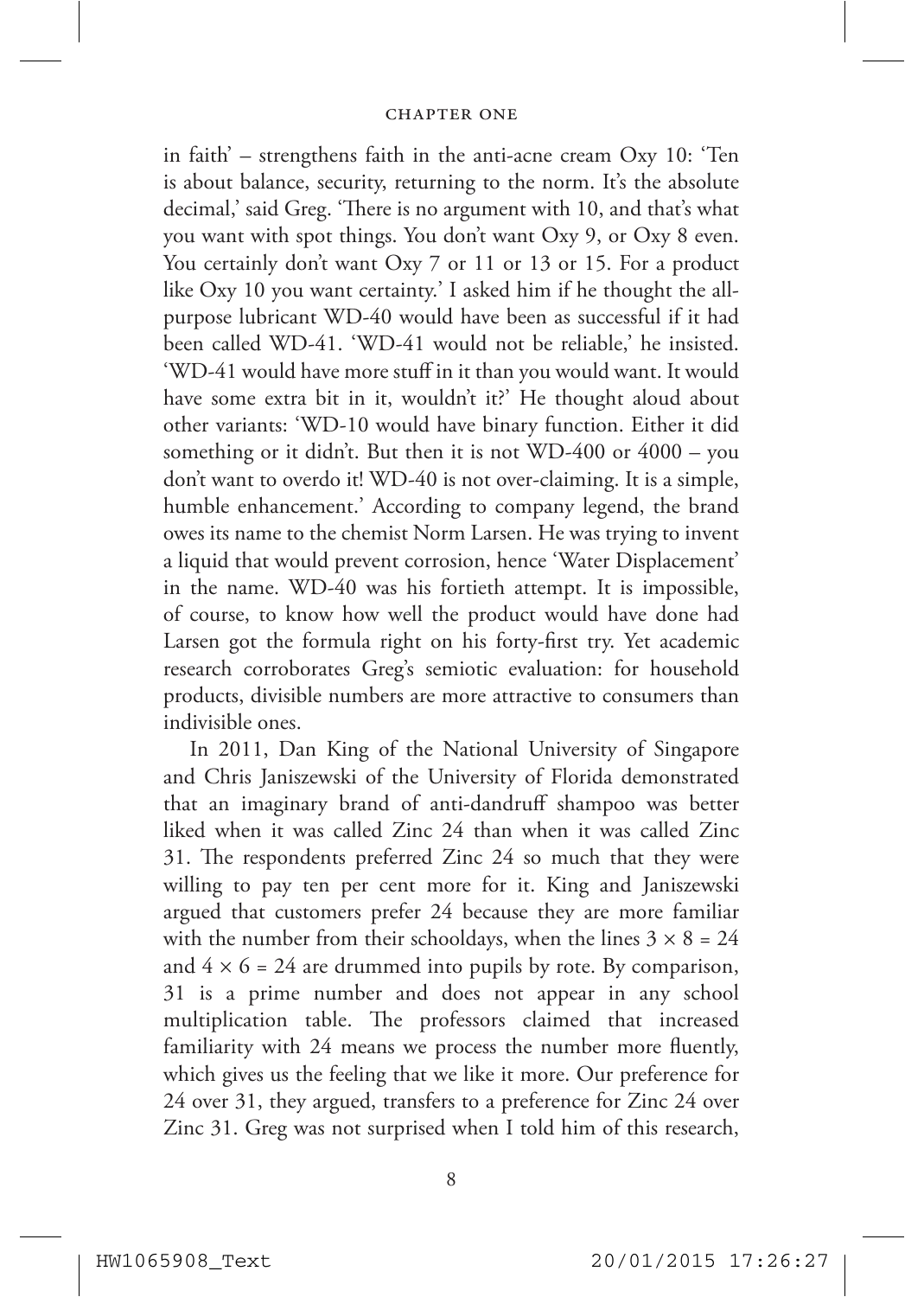in faith' – strengthens faith in the anti-acne cream Oxy 10: 'Ten is about balance, security, returning to the norm. It's the absolute decimal,' said Greg. 'There is no argument with 10, and that's what you want with spot things. You don't want Oxy 9, or Oxy 8 even. You certainly don't want Oxy 7 or 11 or 13 or 15. For a product like Oxy 10 you want certainty.' I asked him if he thought the allpurpose lubricant WD-40 would have been as successful if it had been called WD-41. 'WD-41 would not be reliable,' he insisted. 'WD-41 would have more stuff in it than you would want. It would have some extra bit in it, wouldn't it?' He thought aloud about other variants: 'WD-10 would have binary function. Either it did something or it didn't. But then it is not WD-400 or 4000 – you don't want to overdo it! WD-40 is not over-claiming. It is a simple, humble enhancement.' According to company legend, the brand owes its name to the chemist Norm Larsen. He was trying to invent a liquid that would prevent corrosion, hence 'Water Displacement' in the name. WD-40 was his fortieth attempt. It is impossible, of course, to know how well the product would have done had Larsen got the formula right on his forty-first try. Yet academic research corroborates Greg's semiotic evaluation: for household products, divisible numbers are more attractive to consumers than indivisible ones.

In 2011, Dan King of the National University of Singapore and Chris Janiszewski of the University of Florida demonstrated that an imaginary brand of anti-dandruff shampoo was better liked when it was called Zinc 24 than when it was called Zinc 31. The respondents preferred Zinc 24 so much that they were willing to pay ten per cent more for it. King and Janiszewski argued that customers prefer 24 because they are more familiar with the number from their schooldays, when the lines  $3 \times 8 = 24$ and  $4 \times 6 = 24$  are drummed into pupils by rote. By comparison, 31 is a prime number and does not appear in any school multiplication table. The professors claimed that increased familiarity with 24 means we process the number more fluently, which gives us the feeling that we like it more. Our preference for 24 over 31, they argued, transfers to a preference for Zinc 24 over Zinc 31. Greg was not surprised when I told him of this research,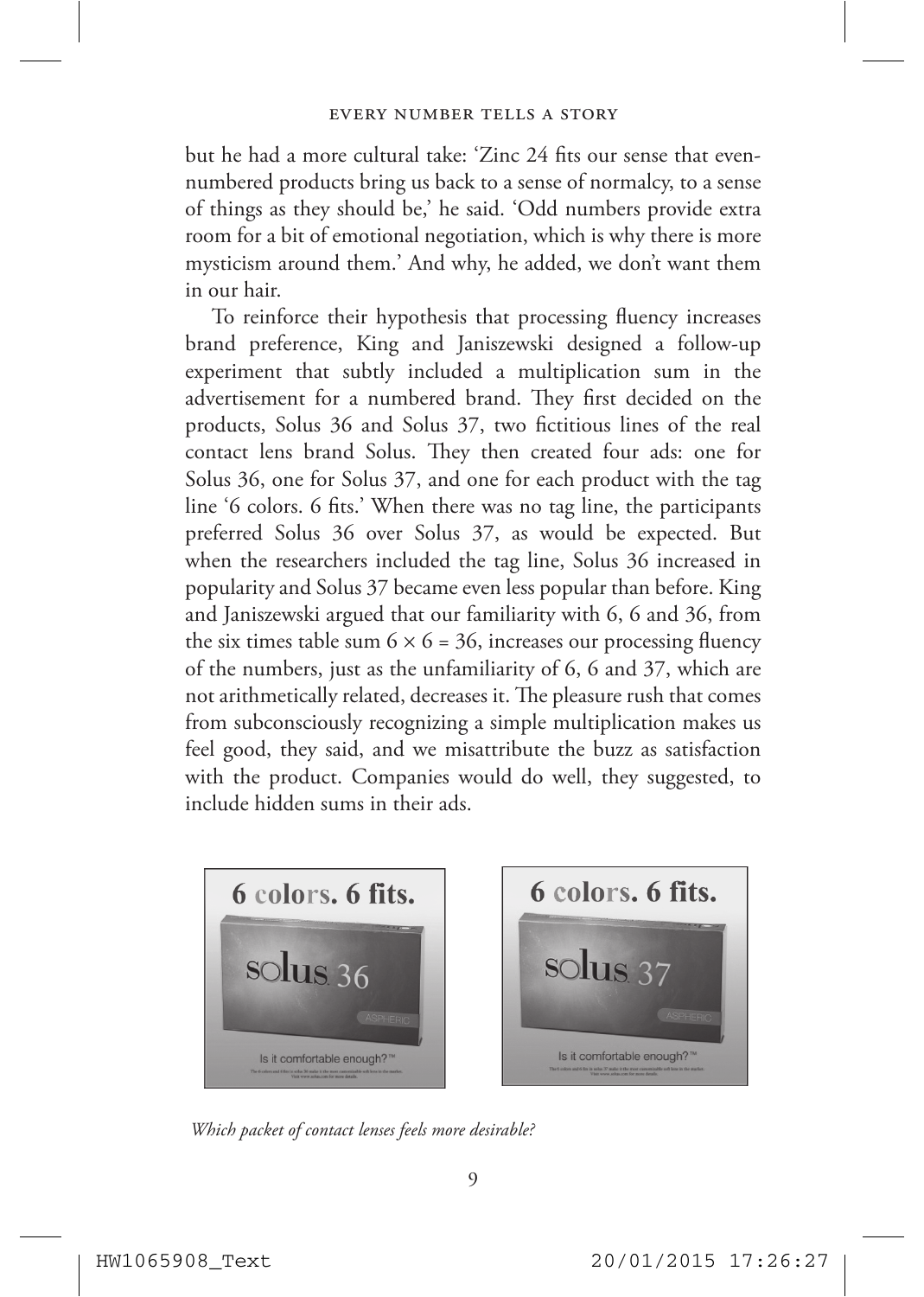but he had a more cultural take: 'Zinc 24 fits our sense that evennumbered products bring us back to a sense of normalcy, to a sense of things as they should be,' he said. 'Odd numbers provide extra room for a bit of emotional negotiation, which is why there is more mysticism around them.' And why, he added, we don't want them in our hair.

To reinforce their hypothesis that processing fluency increases brand preference, King and Janiszewski designed a follow-up experiment that subtly included a multiplication sum in the advertisement for a numbered brand. They first decided on the products, Solus 36 and Solus 37, two fictitious lines of the real contact lens brand Solus. They then created four ads: one for Solus 36, one for Solus 37, and one for each product with the tag line '6 colors. 6 fits.' When there was no tag line, the participants preferred Solus 36 over Solus 37, as would be expected. But when the researchers included the tag line, Solus 36 increased in popularity and Solus 37 became even less popular than before. King and Janiszewski argued that our familiarity with 6, 6 and 36, from the six times table sum  $6 \times 6 = 36$ , increases our processing fluency of the numbers, just as the unfamiliarity of 6, 6 and 37, which are not arithmetically related, decreases it. The pleasure rush that comes from subconsciously recognizing a simple multiplication makes us feel good, they said, and we misattribute the buzz as satisfaction with the product. Companies would do well, they suggested, to include hidden sums in their ads.



6 colors, 6 fits. solus 37 Is it comfortable enough?™

*Which packet of contact lenses feels more desirable?*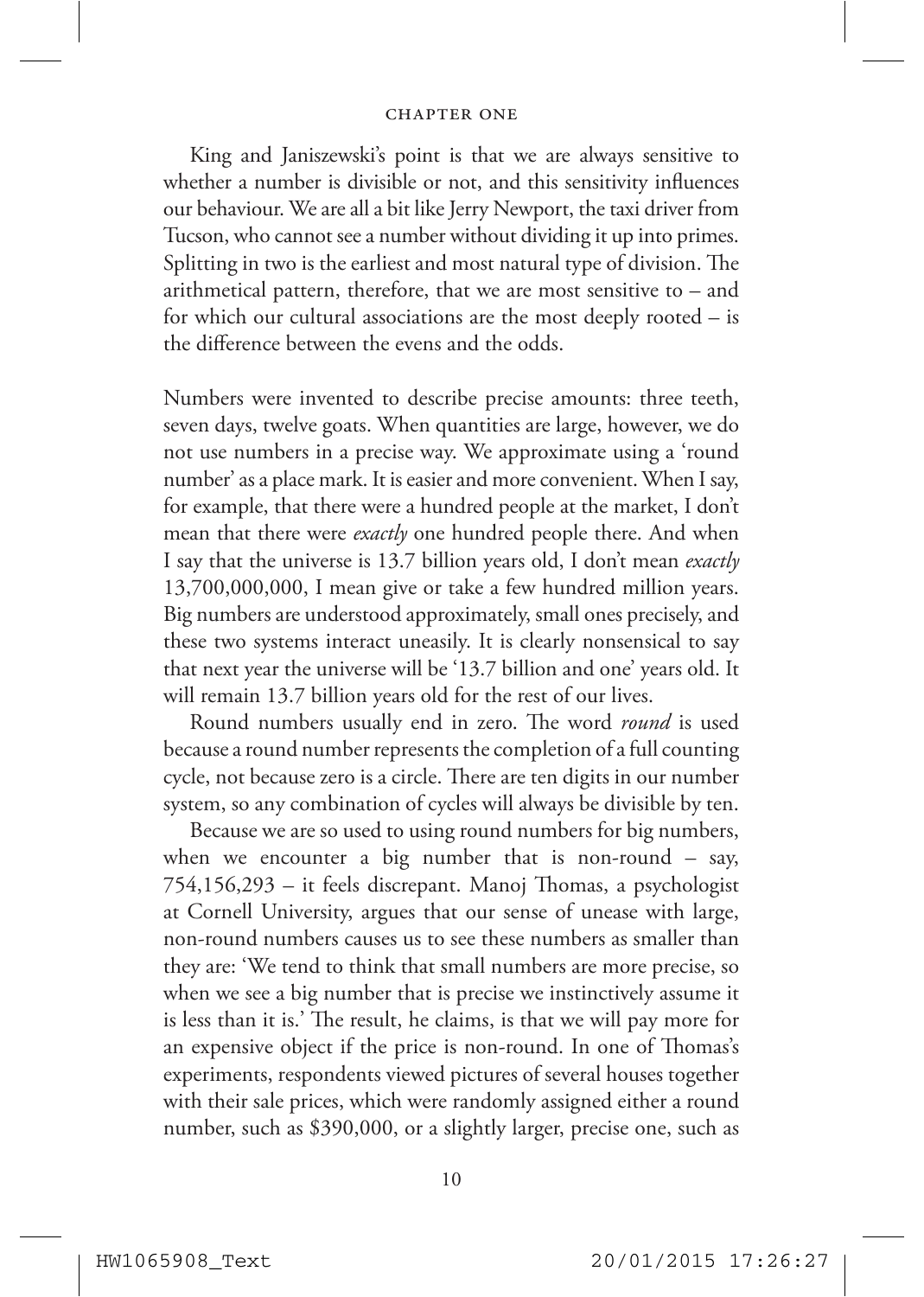King and Janiszewski's point is that we are always sensitive to whether a number is divisible or not, and this sensitivity influences our behaviour. We are all a bit like Jerry Newport, the taxi driver from Tucson, who cannot see a number without dividing it up into primes. Splitting in two is the earliest and most natural type of division. The arithmetical pattern, therefore, that we are most sensitive to – and for which our cultural associations are the most deeply rooted – is the difference between the evens and the odds.

Numbers were invented to describe precise amounts: three teeth, seven days, twelve goats. When quantities are large, however, we do not use numbers in a precise way. We approximate using a 'round number' as a place mark. It is easier and more convenient. When I say, for example, that there were a hundred people at the market, I don't mean that there were *exactly* one hundred people there. And when I say that the universe is 13.7 billion years old, I don't mean *exactly* 13,700,000,000, I mean give or take a few hundred million years. Big numbers are understood approximately, small ones precisely, and these two systems interact uneasily. It is clearly nonsensical to say that next year the universe will be '13.7 billion and one' years old. It will remain 13.7 billion years old for the rest of our lives.

Round numbers usually end in zero. The word *round* is used because a round number represents the completion of a full counting cycle, not because zero is a circle. There are ten digits in our number system, so any combination of cycles will always be divisible by ten.

Because we are so used to using round numbers for big numbers, when we encounter a big number that is non-round – say,  $754,156,293$  – it feels discrepant. Manoj Thomas, a psychologist at Cornell University, argues that our sense of unease with large, non-round numbers causes us to see these numbers as smaller than they are: 'We tend to think that small numbers are more precise, so when we see a big number that is precise we instinctively assume it is less than it is.' The result, he claims, is that we will pay more for an expensive object if the price is non-round. In one of Thomas's experiments, respondents viewed pictures of several houses together with their sale prices, which were randomly assigned either a round number, such as \$390,000, or a slightly larger, precise one, such as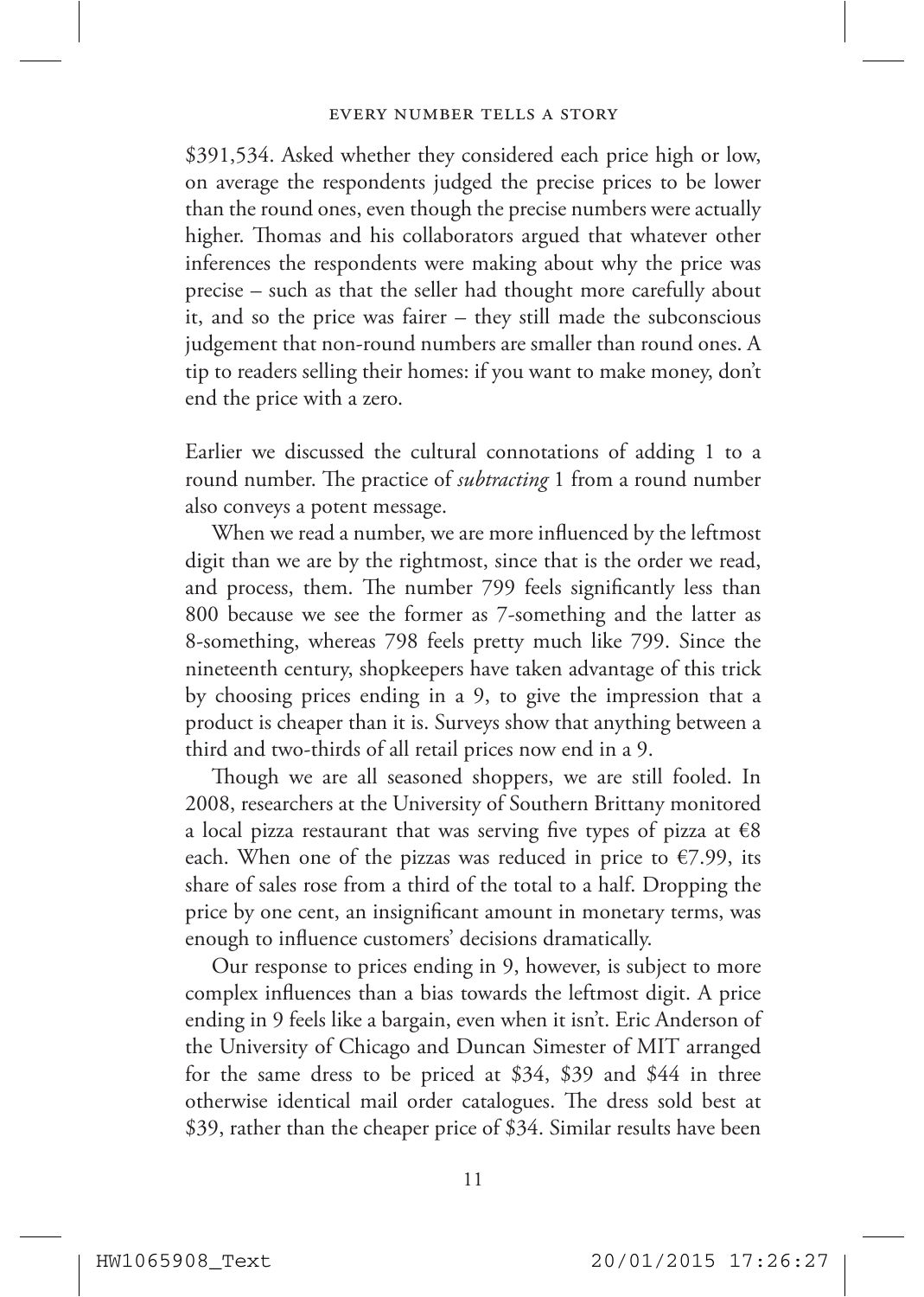\$391,534. Asked whether they considered each price high or low, on average the respondents judged the precise prices to be lower than the round ones, even though the precise numbers were actually higher. Thomas and his collaborators argued that whatever other inferences the respondents were making about why the price was precise – such as that the seller had thought more carefully about it, and so the price was fairer – they still made the subconscious judgement that non-round numbers are smaller than round ones. A tip to readers selling their homes: if you want to make money, don't end the price with a zero.

Earlier we discussed the cultural connotations of adding 1 to a round number. The practice of *subtracting* 1 from a round number also conveys a potent message.

When we read a number, we are more influenced by the leftmost digit than we are by the rightmost, since that is the order we read, and process, them. The number 799 feels significantly less than 800 because we see the former as 7-something and the latter as 8-something, whereas 798 feels pretty much like 799. Since the nineteenth century, shopkeepers have taken advantage of this trick by choosing prices ending in a 9, to give the impression that a product is cheaper than it is. Surveys show that anything between a third and two-thirds of all retail prices now end in a 9.

Though we are all seasoned shoppers, we are still fooled. In 2008, researchers at the University of Southern Brittany monitored a local pizza restaurant that was serving five types of pizza at  $€8$ each. When one of the pizzas was reduced in price to  $\epsilon$ 7.99, its share of sales rose from a third of the total to a half. Dropping the price by one cent, an insignificant amount in monetary terms, was enough to influence customers' decisions dramatically.

Our response to prices ending in 9, however, is subject to more complex influences than a bias towards the leftmost digit. A price ending in 9 feels like a bargain, even when it isn't. Eric Anderson of the University of Chicago and Duncan Simester of MIT arranged for the same dress to be priced at \$34, \$39 and \$44 in three otherwise identical mail order catalogues. The dress sold best at \$39, rather than the cheaper price of \$34. Similar results have been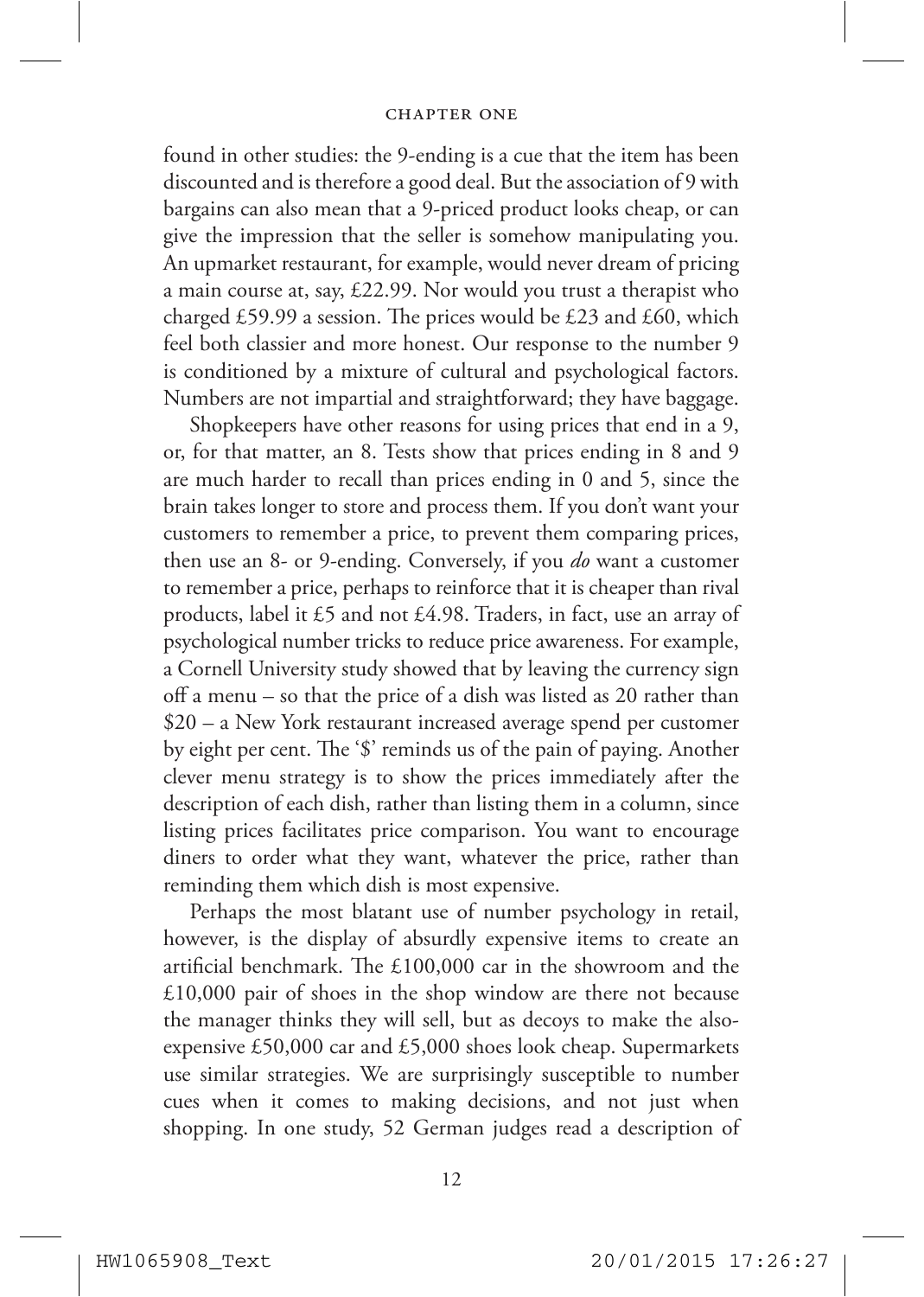# CHAPTER ONE

found in other studies: the 9-ending is a cue that the item has been discounted and is therefore a good deal. But the association of 9 with bargains can also mean that a 9-priced product looks cheap, or can give the impression that the seller is somehow manipulating you. An upmarket restaurant, for example, would never dream of pricing a main course at, say, £22.99. Nor would you trust a therapist who charged £59.99 a session. The prices would be £23 and £60, which feel both classier and more honest. Our response to the number 9 is conditioned by a mixture of cultural and psychological factors. Numbers are not impartial and straightforward; they have baggage.

Shopkeepers have other reasons for using prices that end in a 9, or, for that matter, an 8. Tests show that prices ending in 8 and 9 are much harder to recall than prices ending in 0 and 5, since the brain takes longer to store and process them. If you don't want your customers to remember a price, to prevent them comparing prices, then use an 8- or 9-ending. Conversely, if you *do* want a customer to remember a price, perhaps to reinforce that it is cheaper than rival products, label it £5 and not £4.98. Traders, in fact, use an array of psychological number tricks to reduce price awareness. For example, a Cornell University study showed that by leaving the currency sign off a menu – so that the price of a dish was listed as 20 rather than \$20 – a New York restaurant increased average spend per customer by eight per cent. The '\$' reminds us of the pain of paying. Another clever menu strategy is to show the prices immediately after the description of each dish, rather than listing them in a column, since listing prices facilitates price comparison. You want to encourage diners to order what they want, whatever the price, rather than reminding them which dish is most expensive.

Perhaps the most blatant use of number psychology in retail, however, is the display of absurdly expensive items to create an artificial benchmark. The  $£100,000$  car in the showroom and the £10,000 pair of shoes in the shop window are there not because the manager thinks they will sell, but as decoys to make the alsoexpensive £50,000 car and £5,000 shoes look cheap. Supermarkets use similar strategies. We are surprisingly susceptible to number cues when it comes to making decisions, and not just when shopping. In one study, 52 German judges read a description of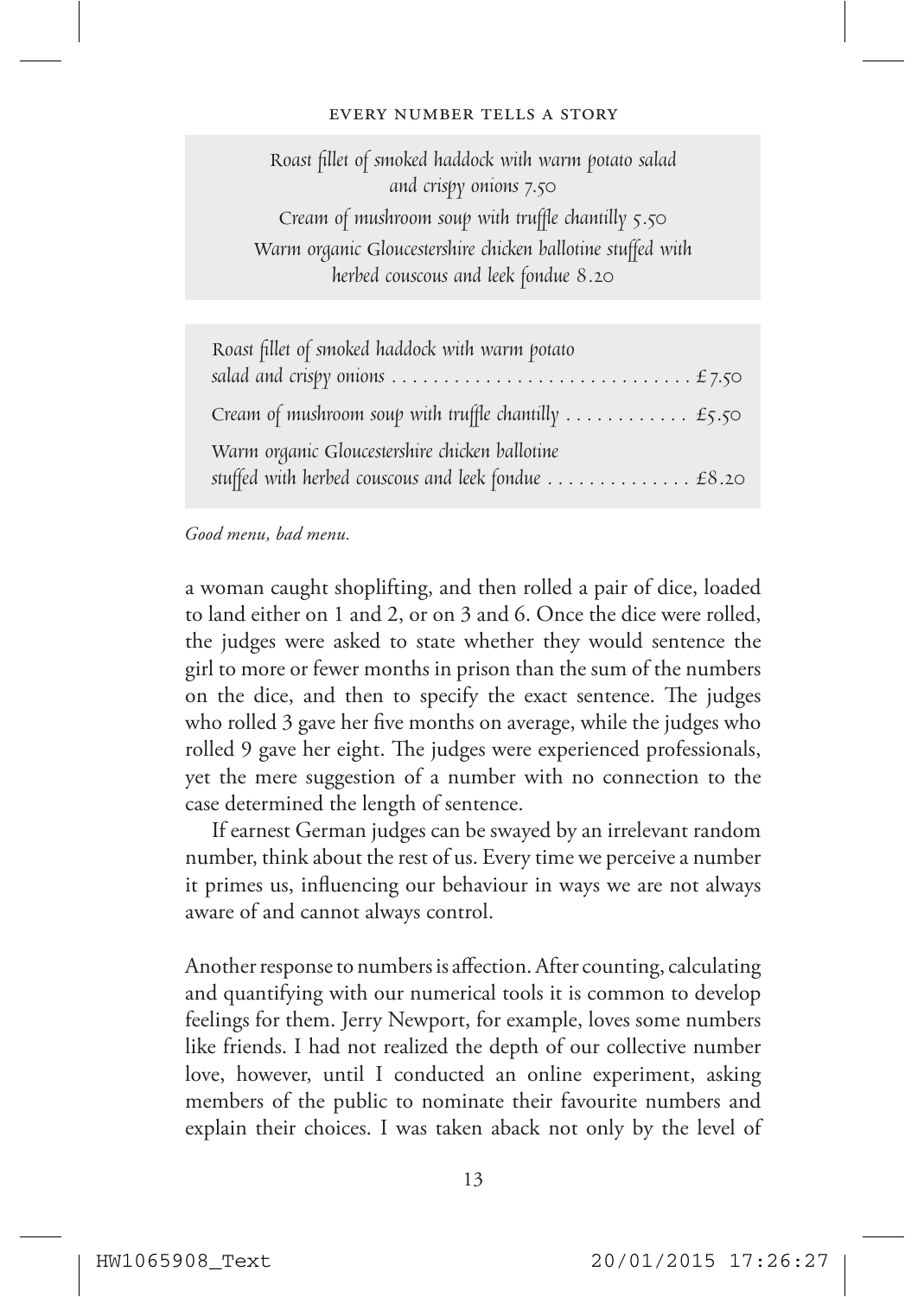# EVERY NIIMBER TELLS A STORY

*Roast fillet of smoked haddock with warm potato salad and crispy onions 7.50 Cream of mushroom soup with truffle chantilly 5.50 Warm organic Gloucestershire chicken ballotine stuffed with herbed couscous and leek fondue 8.20*

| Roast fillet of smoked haddock with warm potato       |
|-------------------------------------------------------|
|                                                       |
| Cream of mushroom soup with truffle chantilly $£5.50$ |
| Warm organic Gloucestershire chicken ballotine        |
| stuffed with herbed couscous and leek fondue  £8.20   |

# *Good menu, bad menu.*

a woman caught shoplifting, and then rolled a pair of dice, loaded to land either on 1 and 2, or on 3 and 6. Once the dice were rolled, the judges were asked to state whether they would sentence the girl to more or fewer months in prison than the sum of the numbers on the dice, and then to specify the exact sentence. The judges who rolled 3 gave her five months on average, while the judges who rolled 9 gave her eight. The judges were experienced professionals, yet the mere suggestion of a number with no connection to the case determined the length of sentence.

If earnest German judges can be swayed by an irrelevant random number, think about the rest of us. Every time we perceive a number it primes us, influencing our behaviour in ways we are not always aware of and cannot always control.

Another response to numbers is affection. After counting, calculating and quantifying with our numerical tools it is common to develop feelings for them. Jerry Newport, for example, loves some numbers like friends. I had not realized the depth of our collective number love, however, until I conducted an online experiment, asking members of the public to nominate their favourite numbers and explain their choices. I was taken aback not only by the level of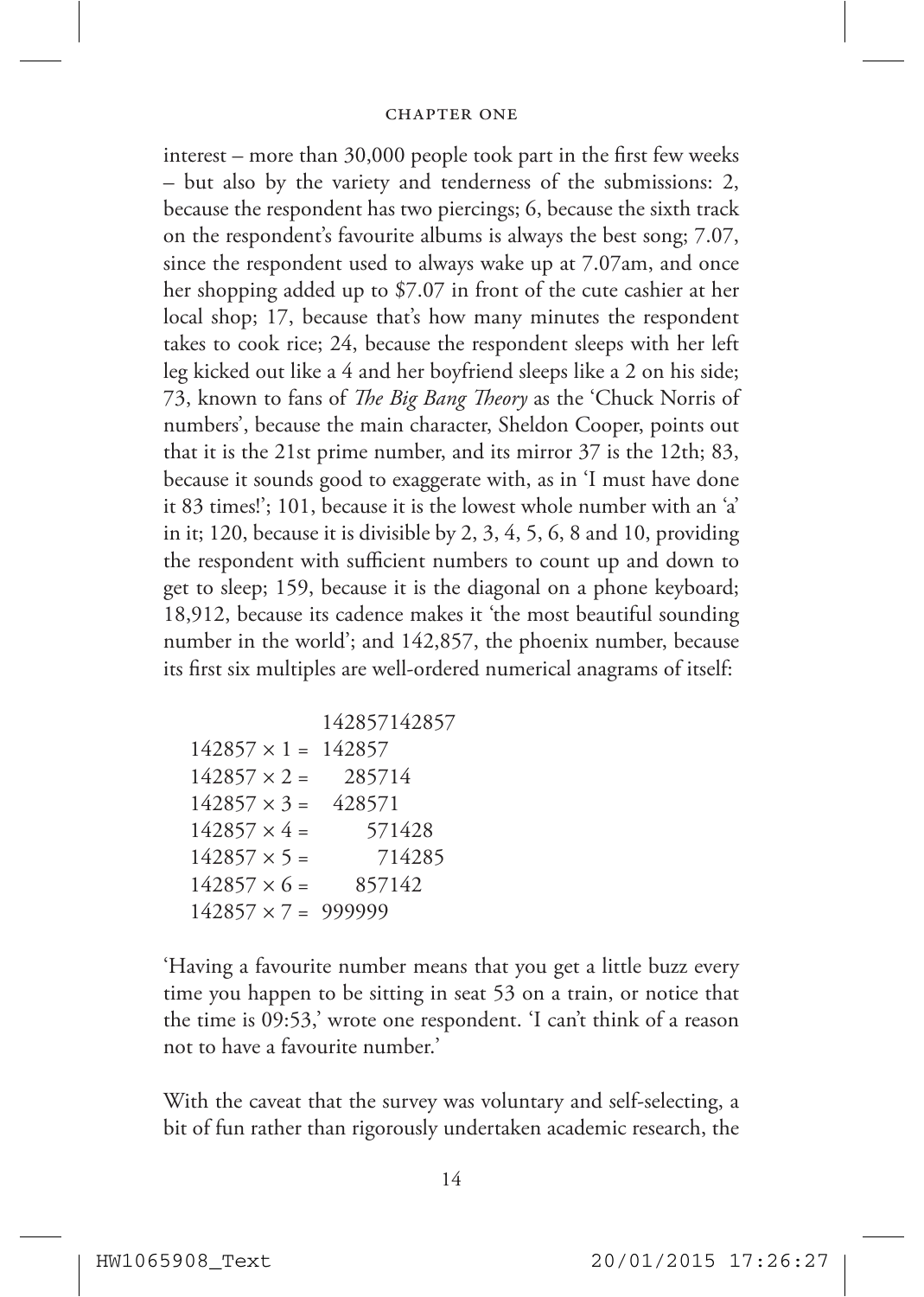interest – more than 30,000 people took part in the first few weeks – but also by the variety and tenderness of the submissions: 2, because the respondent has two piercings; 6, because the sixth track on the respondent's favourite albums is always the best song; 7.07, since the respondent used to always wake up at 7.07am, and once her shopping added up to \$7.07 in front of the cute cashier at her local shop; 17, because that's how many minutes the respondent takes to cook rice; 24, because the respondent sleeps with her left leg kicked out like a 4 and her boyfriend sleeps like a 2 on his side; 73, known to fans of *The Big Bang Theory* as the 'Chuck Norris of numbers', because the main character, Sheldon Cooper, points out that it is the 21st prime number, and its mirror 37 is the 12th; 83, because it sounds good to exaggerate with, as in 'I must have done it 83 times!'; 101, because it is the lowest whole number with an 'a' in it; 120, because it is divisible by 2, 3, 4, 5, 6, 8 and 10, providing the respondent with sufficient numbers to count up and down to get to sleep; 159, because it is the diagonal on a phone keyboard; 18,912, because its cadence makes it 'the most beautiful sounding number in the world'; and 142,857, the phoenix number, because its first six multiples are well-ordered numerical anagrams of itself:

```
142857142857
142857 \times 1 = 142857142857 \times 2 = 285714142857 \times 3 = 428571142857 \times 4 = 571428142857 \times 5 = 714285142857 \times 6 = 857142142857 \times 7 = 9999999
```
'Having a favourite number means that you get a little buzz every time you happen to be sitting in seat 53 on a train, or notice that the time is 09:53,' wrote one respondent. 'I can't think of a reason not to have a favourite number.'

With the caveat that the survey was voluntary and self-selecting, a bit of fun rather than rigorously undertaken academic research, the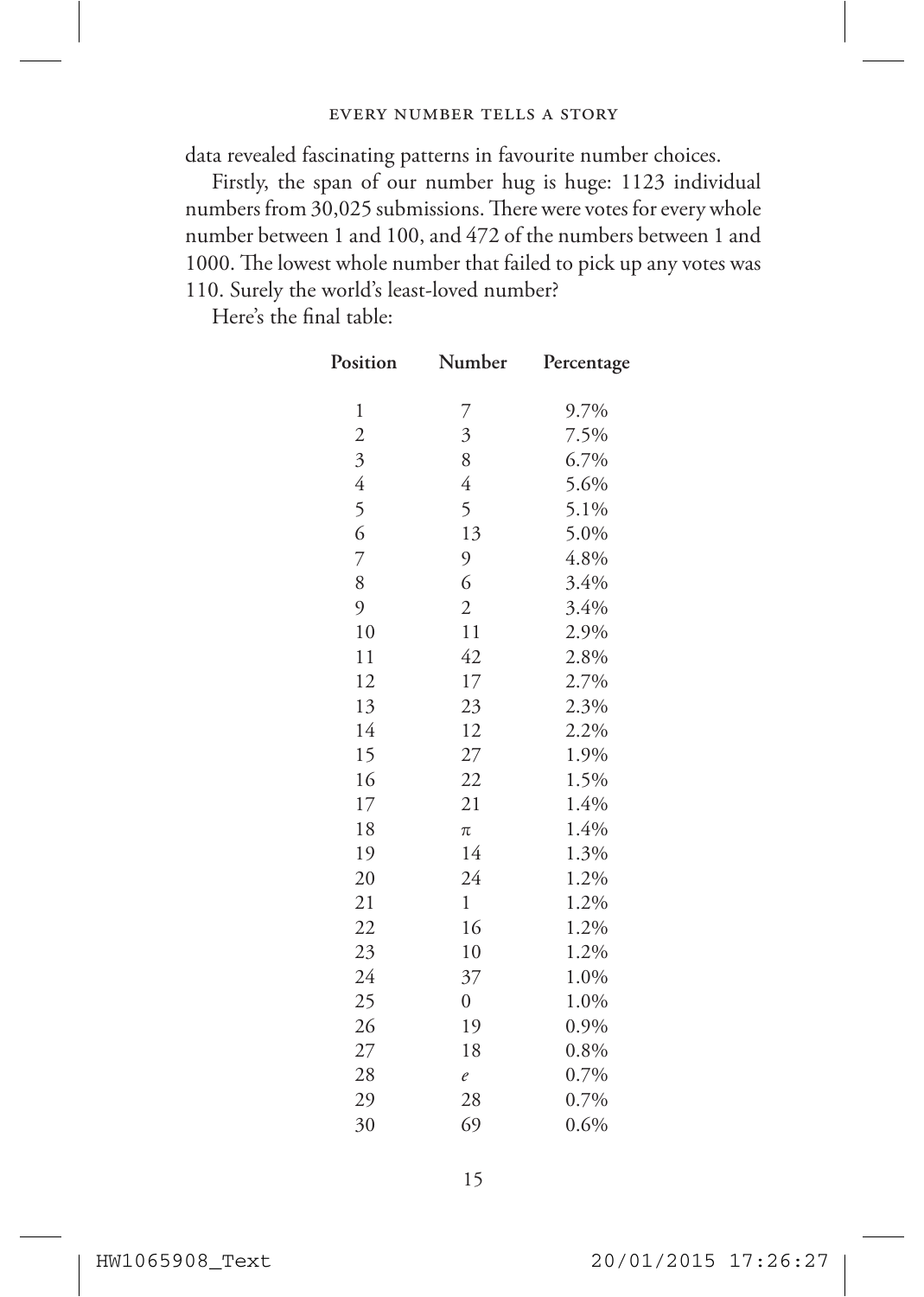data revealed fascinating patterns in favourite number choices.

Firstly, the span of our number hug is huge: 1123 individual numbers from 30,025 submissions. There were votes for every whole number between 1 and 100, and 472 of the numbers between 1 and 1000. The lowest whole number that failed to pick up any votes was 110. Surely the world's least-loved number?

Here's the final table:

| Position                | Number                  | Percentage |
|-------------------------|-------------------------|------------|
| $\,1$                   | 7                       | 9.7%       |
| $\overline{c}$          | $\overline{\mathbf{3}}$ | 7.5%       |
| $\overline{\mathbf{3}}$ | 8                       | 6.7%       |
| $\overline{4}$          | $\overline{4}$          | 5.6%       |
| 5                       | 5                       | 5.1%       |
| 6                       | 13                      | 5.0%       |
| 7                       | 9                       | 4.8%       |
| 8                       | 6                       | 3.4%       |
| 9                       | $\overline{c}$          | 3.4%       |
| 10                      | 11                      | 2.9%       |
| 11                      | 42                      | 2.8%       |
| 12                      | 17                      | 2.7%       |
| 13                      | 23                      | 2.3%       |
| 14                      | 12                      | 2.2%       |
| 15                      | 27                      | 1.9%       |
| 16                      | 22                      | 1.5%       |
| 17                      | 21                      | 1.4%       |
| 18                      | $\pi$                   | 1.4%       |
| 19                      | 14                      | 1.3%       |
| 20                      | 24                      | 1.2%       |
| 21                      | $\,1$                   | 1.2%       |
| 22                      | 16                      | 1.2%       |
| 23                      | 10                      | 1.2%       |
| 24                      | 37                      | 1.0%       |
| 25                      | $\boldsymbol{0}$        | 1.0%       |
| 26                      | 19                      | 0.9%       |
| 27                      | 18                      | 0.8%       |
| 28                      | $\ell$                  | 0.7%       |
| 29                      | 28                      | 0.7%       |
| 30                      | 69                      | 0.6%       |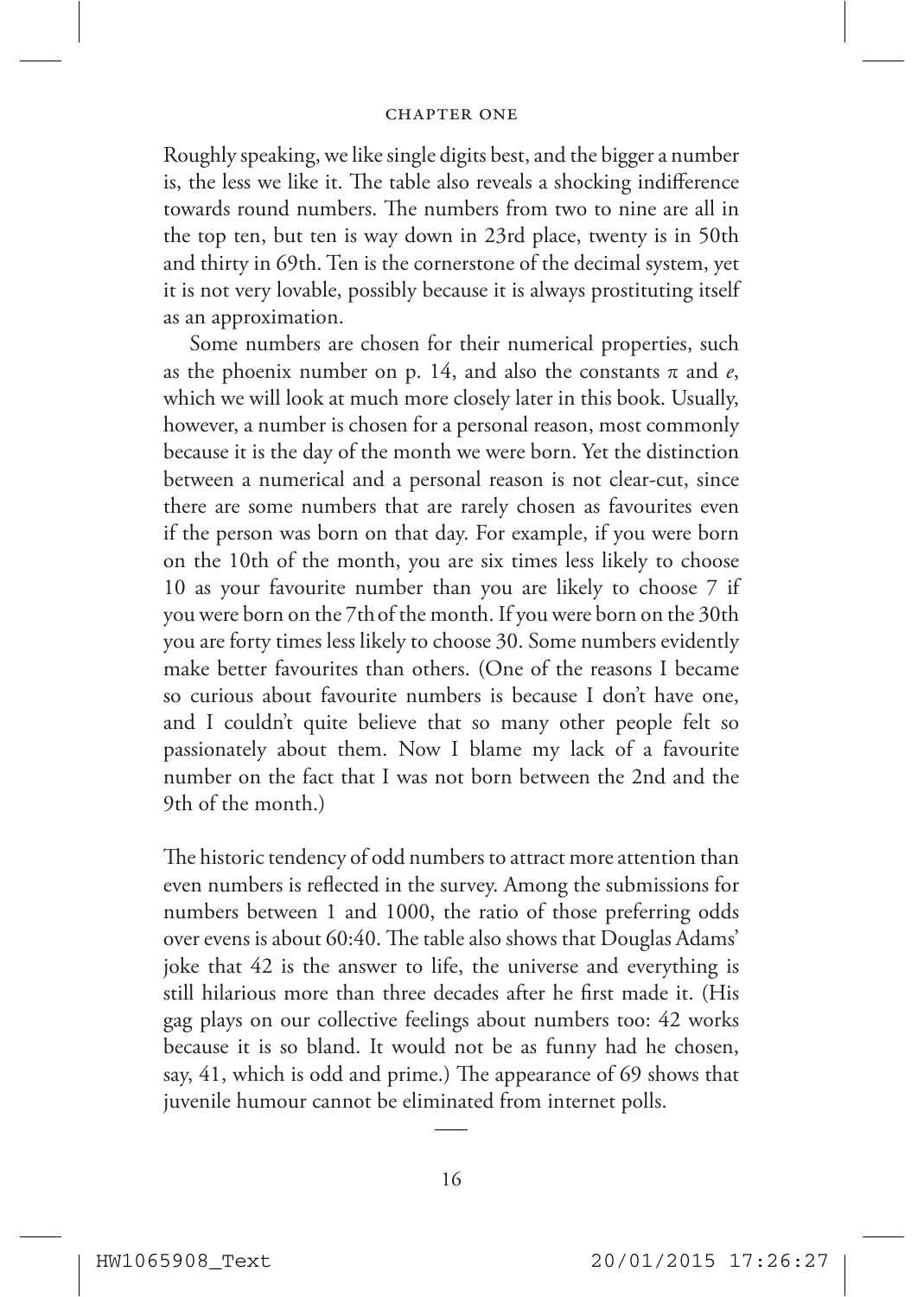Roughly speaking, we like single digits best, and the bigger a number is, the less we like it. The table also reveals a shocking indifference towards round numbers. The numbers from two to nine are all in the top ten, but ten is way down in 23rd place, twenty is in 50th and thirty in 69th. Ten is the cornerstone of the decimal system, yet it is not very lovable, possibly because it is always prostituting itself as an approximation.

Some numbers are chosen for their numerical properties, such as the phoenix number on p. 14, and also the constants  $\pi$  and  $e$ , which we will look at much more closely later in this book. Usually, however, a number is chosen for a personal reason, most commonly because it is the day of the month we were born. Yet the distinction between a numerical and a personal reason is not clear-cut, since there are some numbers that are rarely chosen as favourites even if the person was born on that day. For example, if you were born on the 10th of the month, you are six times less likely to choose 10 as your favourite number than you are likely to choose 7 if you were born on the 7thof the month. If you were born on the 30th you are forty times less likely to choose 30. Some numbers evidently make better favourites than others. (One of the reasons I became so curious about favourite numbers is because I don't have one. and I couldn't quite believe that so many other people felt so passionately about them. Now I blame my lack of a favourite number on the fact that I was not born between the 2nd and the 9th of the month.)

The historic tendency of odd numbers to attract more attention than even numbers is reflected in the survey. Among the submissions for numbers between 1 and 1000, the ratio of those preferring odds over evens is about 60:40. The table also shows that Douglas Adams' joke that 42 is the answer to life, the universe and everything is still hilarious more than three decades after he first made it. (His gag plays on our collective feelings about numbers too: 42 works because it is so bland. It would not be as funny had he chosen, say, 41, which is odd and prime.) The appearance of 69 shows that juvenile humour cannot be eliminated from internet polls.

–––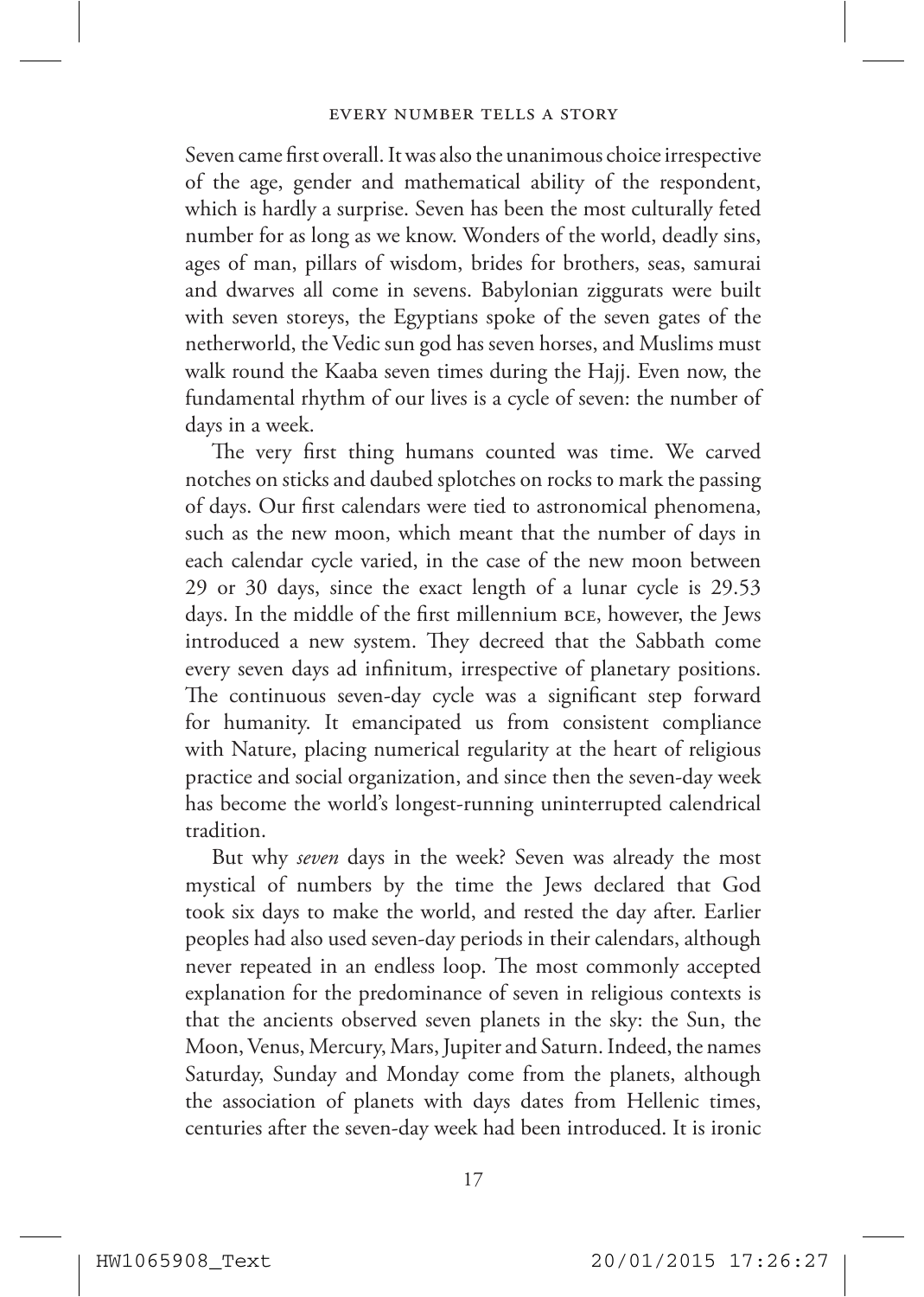Seven came first overall. It was also the unanimous choice irrespective of the age, gender and mathematical ability of the respondent, which is hardly a surprise. Seven has been the most culturally feted number for as long as we know. Wonders of the world, deadly sins, ages of man, pillars of wisdom, brides for brothers, seas, samurai and dwarves all come in sevens. Babylonian ziggurats were built with seven storeys, the Egyptians spoke of the seven gates of the netherworld, the Vedic sun god has seven horses, and Muslims must walk round the Kaaba seven times during the Hajj. Even now, the fundamental rhythm of our lives is a cycle of seven: the number of days in a week.

The very first thing humans counted was time. We carved notches on sticks and daubed splotches on rocks to mark the passing of days. Our first calendars were tied to astronomical phenomena, such as the new moon, which meant that the number of days in each calendar cycle varied, in the case of the new moon between 29 or 30 days, since the exact length of a lunar cycle is 29.53 days. In the middle of the first millennium BCE, however, the Jews introduced a new system. They decreed that the Sabbath come every seven days ad infinitum, irrespective of planetary positions. The continuous seven-day cycle was a significant step forward for humanity. It emancipated us from consistent compliance with Nature, placing numerical regularity at the heart of religious practice and social organization, and since then the seven-day week has become the world's longest-running uninterrupted calendrical tradition.

But why *seven* days in the week? Seven was already the most mystical of numbers by the time the Jews declared that God took six days to make the world, and rested the day after. Earlier peoples had also used seven-day periods in their calendars, although never repeated in an endless loop. The most commonly accepted explanation for the predominance of seven in religious contexts is that the ancients observed seven planets in the sky: the Sun, the Moon, Venus, Mercury, Mars, Jupiter and Saturn. Indeed, the names Saturday, Sunday and Monday come from the planets, although the association of planets with days dates from Hellenic times, centuries after the seven-day week had been introduced. It is ironic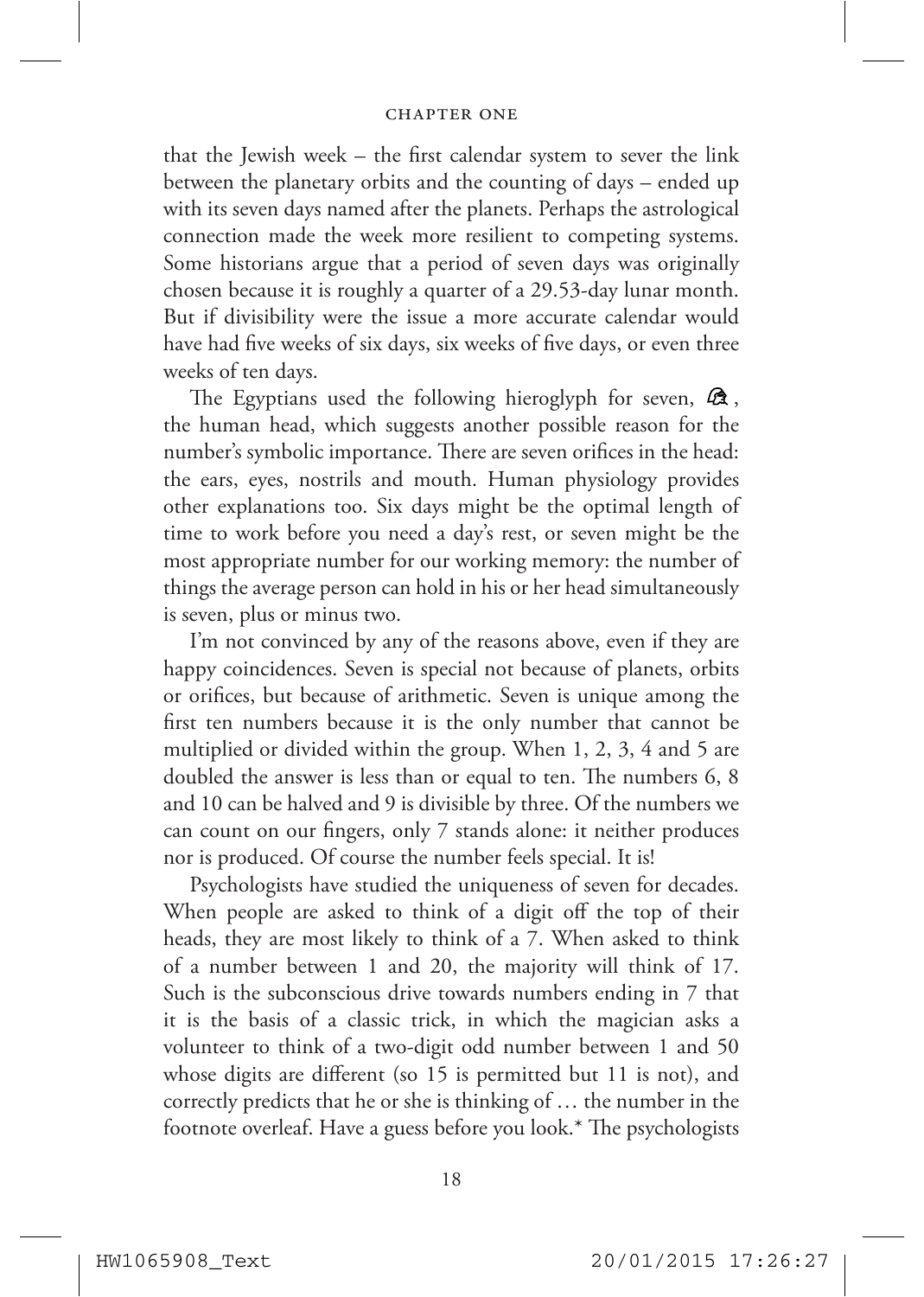#### CHAPTER ONE

that the Jewish week – the first calendar system to sever the link between the planetary orbits and the counting of days – ended up with its seven days named after the planets. Perhaps the astrological connection made the week more resilient to competing systems. Some historians argue that a period of seven days was originally chosen because it is roughly a quarter of a 29.53-day lunar month. But if divisibility were the issue a more accurate calendar would have had five weeks of six days, six weeks of five days, or even three weeks of ten days.

The Egyptians used the following hieroglyph for seven,  $\mathcal{A}$ , the human head, which suggests another possible reason for the number's symbolic importance. There are seven orifices in the head: the ears, eyes, nostrils and mouth. Human physiology provides other explanations too. Six days might be the optimal length of time to work before you need a day's rest, or seven might be the most appropriate number for our working memory: the number of things the average person can hold in his or her head simultaneously is seven, plus or minus two.

I'm not convinced by any of the reasons above, even if they are happy coincidences. Seven is special not because of planets, orbits or orifices, but because of arithmetic. Seven is unique among the first ten numbers because it is the only number that cannot be multiplied or divided within the group. When 1, 2, 3, 4 and 5 are doubled the answer is less than or equal to ten. The numbers 6, 8 and 10 can be halved and 9 is divisible by three. Of the numbers we can count on our fingers, only 7 stands alone: it neither produces nor is produced. Of course the number feels special. It is!

Psychologists have studied the uniqueness of seven for decades. When people are asked to think of a digit off the top of their heads, they are most likely to think of a 7. When asked to think of a number between 1 and 20, the majority will think of 17. Such is the subconscious drive towards numbers ending in 7 that it is the basis of a classic trick, in which the magician asks a volunteer to think of a two-digit odd number between 1 and 50 whose digits are different (so 15 is permitted but 11 is not), and correctly predicts that he or she is thinking of … the number in the footnote overleaf. Have a guess before you look.\* The psychologists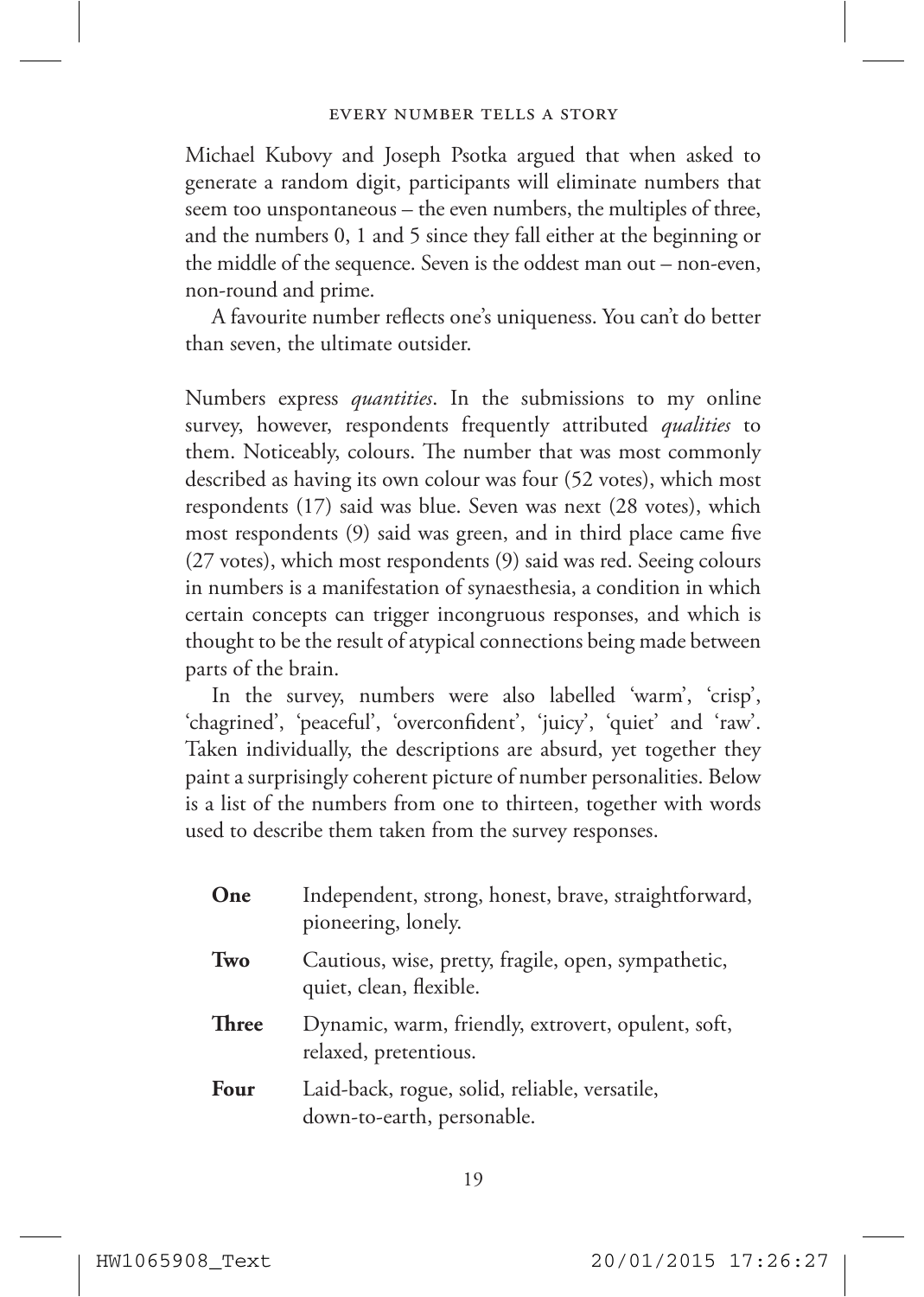Michael Kubovy and Joseph Psotka argued that when asked to generate a random digit, participants will eliminate numbers that seem too unspontaneous – the even numbers, the multiples of three, and the numbers 0, 1 and 5 since they fall either at the beginning or the middle of the sequence. Seven is the oddest man out – non-even, non-round and prime.

A favourite number reflects one's uniqueness. You can't do better than seven, the ultimate outsider.

Numbers express *quantities*. In the submissions to my online survey, however, respondents frequently attributed *qualities* to them. Noticeably, colours. The number that was most commonly described as having its own colour was four (52 votes), which most respondents (17) said was blue. Seven was next (28 votes), which most respondents (9) said was green, and in third place came five (27 votes), which most respondents (9) said was red. Seeing colours in numbers is a manifestation of synaesthesia, a condition in which certain concepts can trigger incongruous responses, and which is thought to be the result of atypical connections being made between parts of the brain.

In the survey, numbers were also labelled 'warm', 'crisp', 'chagrined', 'peaceful', 'overconfident', 'juicy', 'quiet' and 'raw'. Taken individually, the descriptions are absurd, yet together they paint a surprisingly coherent picture of number personalities. Below is a list of the numbers from one to thirteen, together with words used to describe them taken from the survey responses.

| One   | Independent, strong, honest, brave, straightforward,<br>pioneering, lonely.    |
|-------|--------------------------------------------------------------------------------|
| Two   | Cautious, wise, pretty, fragile, open, sympathetic,<br>quiet, clean, flexible. |
| Three | Dynamic, warm, friendly, extrovert, opulent, soft,<br>relaxed, pretentious.    |
| Four  | Laid-back, rogue, solid, reliable, versatile,<br>down-to-earth, personable.    |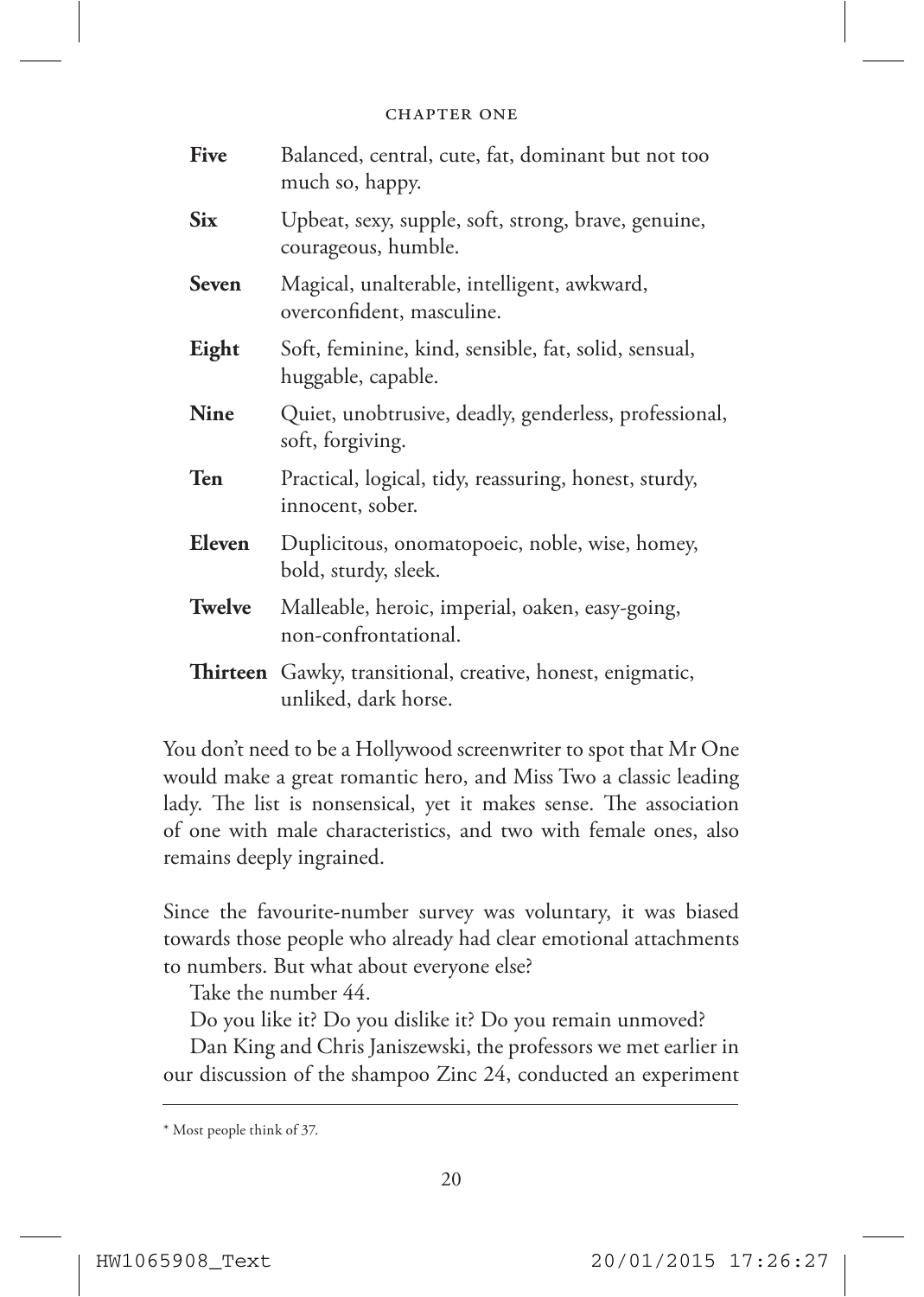# CHAPTER ONE

| Five          | Balanced, central, cute, fat, dominant but not too<br>much so, happy.                     |
|---------------|-------------------------------------------------------------------------------------------|
| <b>Six</b>    | Upbeat, sexy, supple, soft, strong, brave, genuine,<br>courageous, humble.                |
| <b>Seven</b>  | Magical, unalterable, intelligent, awkward,<br>overconfident, masculine.                  |
| Eight         | Soft, feminine, kind, sensible, fat, solid, sensual,<br>huggable, capable.                |
| <b>Nine</b>   | Quiet, unobtrusive, deadly, genderless, professional,<br>soft, forgiving.                 |
| <b>Ten</b>    | Practical, logical, tidy, reassuring, honest, sturdy,<br>innocent, sober.                 |
| Eleven        | Duplicitous, onomatopoeic, noble, wise, homey,<br>bold, sturdy, sleek.                    |
| <b>Twelve</b> | Malleable, heroic, imperial, oaken, easy-going,<br>non-confrontational.                   |
|               | <b>Thirteen</b> Gawky, transitional, creative, honest, enigmatic,<br>unliked, dark horse. |

You don't need to be a Hollywood screenwriter to spot that Mr One would make a great romantic hero, and Miss Two a classic leading lady. The list is nonsensical, yet it makes sense. The association of one with male characteristics, and two with female ones, also remains deeply ingrained.

Since the favourite-number survey was voluntary, it was biased towards those people who already had clear emotional attachments to numbers. But what about everyone else?

Take the number 44.

Do you like it? Do you dislike it? Do you remain unmoved?

Dan King and Chris Janiszewski, the professors we met earlier in our discussion of the shampoo Zinc 24, conducted an experiment

<sup>\*</sup> Most people think of 37.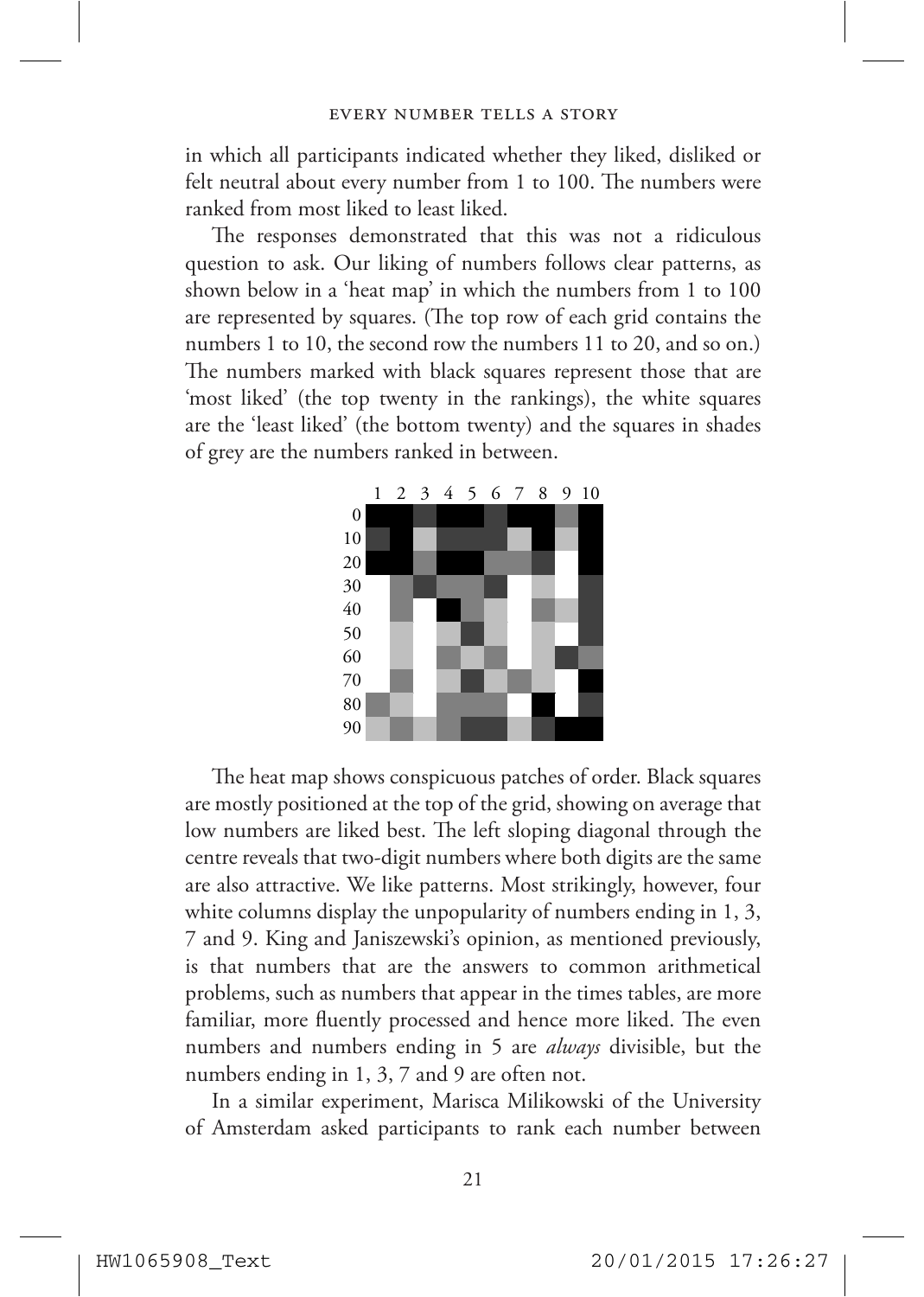in which all participants indicated whether they liked, disliked or felt neutral about every number from 1 to 100. The numbers were ranked from most liked to least liked.

The responses demonstrated that this was not a ridiculous question to ask. Our liking of numbers follows clear patterns, as shown below in a 'heat map' in which the numbers from 1 to 100 are represented by squares. (The top row of each grid contains the numbers 1 to 10, the second row the numbers 11 to 20, and so on.) The numbers marked with black squares represent those that are 'most liked' (the top twenty in the rankings), the white squares are the 'least liked' (the bottom twenty) and the squares in shades of grey are the numbers ranked in between.



The heat map shows conspicuous patches of order. Black squares are mostly positioned at the top of the grid, showing on average that low numbers are liked best. The left sloping diagonal through the centre reveals that two-digit numbers where both digits are the same are also attractive. We like patterns. Most strikingly, however, four white columns display the unpopularity of numbers ending in 1, 3, 7 and 9. King and Janiszewski's opinion, as mentioned previously, is that numbers that are the answers to common arithmetical problems, such as numbers that appear in the times tables, are more familiar, more fluently processed and hence more liked. The even numbers and numbers ending in 5 are *always* divisible, but the numbers ending in 1, 3, 7 and 9 are often not.

In a similar experiment, Marisca Milikowski of the University of Amsterdam asked participants to rank each number between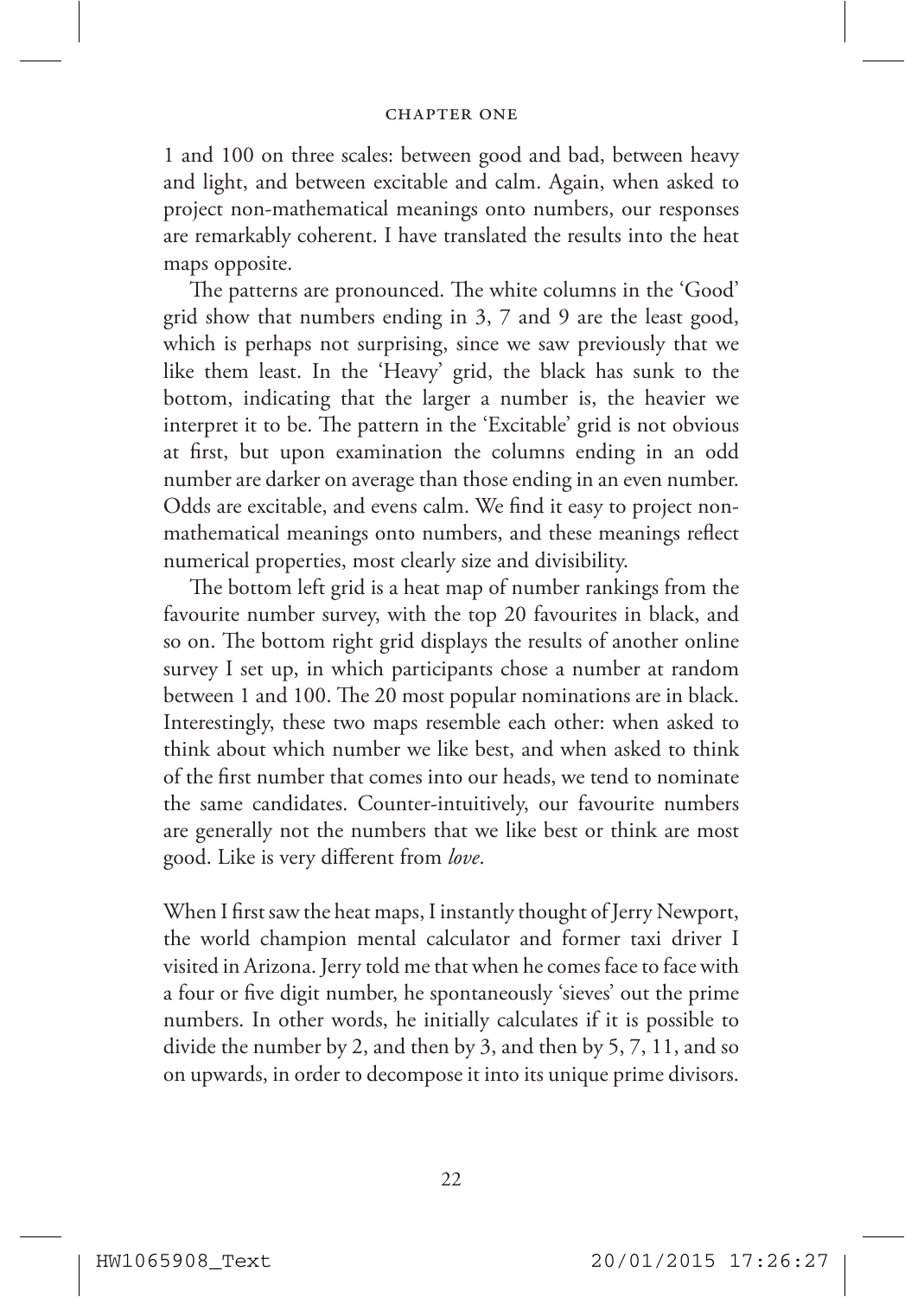1 and 100 on three scales: between good and bad, between heavy and light, and between excitable and calm. Again, when asked to project non-mathematical meanings onto numbers, our responses are remarkably coherent. I have translated the results into the heat maps opposite.

The patterns are pronounced. The white columns in the 'Good' grid show that numbers ending in 3, 7 and 9 are the least good, which is perhaps not surprising, since we saw previously that we like them least. In the 'Heavy' grid, the black has sunk to the bottom, indicating that the larger a number is, the heavier we interpret it to be. The pattern in the 'Excitable' grid is not obvious at first, but upon examination the columns ending in an odd number are darker on average than those ending in an even number. Odds are excitable, and evens calm. We find it easy to project nonmathematical meanings onto numbers, and these meanings reflect numerical properties, most clearly size and divisibility.

The bottom left grid is a heat map of number rankings from the favourite number survey, with the top 20 favourites in black, and so on. The bottom right grid displays the results of another online survey I set up, in which participants chose a number at random between 1 and 100. The 20 most popular nominations are in black. Interestingly, these two maps resemble each other: when asked to think about which number we like best, and when asked to think of the first number that comes into our heads, we tend to nominate the same candidates. Counter-intuitively, our favourite numbers are generally not the numbers that we like best or think are most good. Like is very different from *love*.

When I first saw the heat maps, I instantly thought of Jerry Newport, the world champion mental calculator and former taxi driver I visited in Arizona. Jerry told me that when he comes face to face with a four or five digit number, he spontaneously 'sieves' out the prime numbers. In other words, he initially calculates if it is possible to divide the number by 2, and then by 3, and then by 5, 7, 11, and so on upwards, in order to decompose it into its unique prime divisors.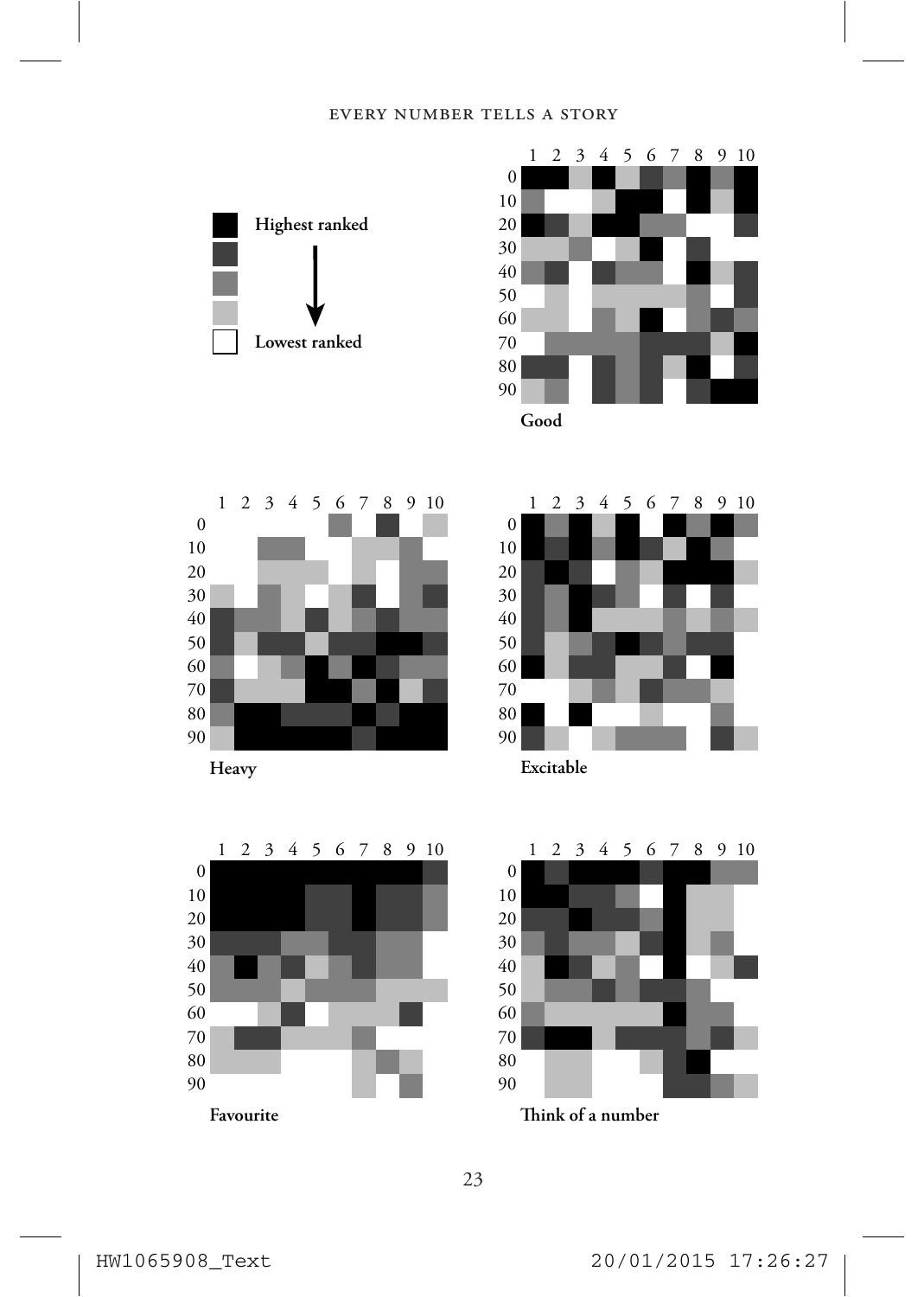





**Heavy**





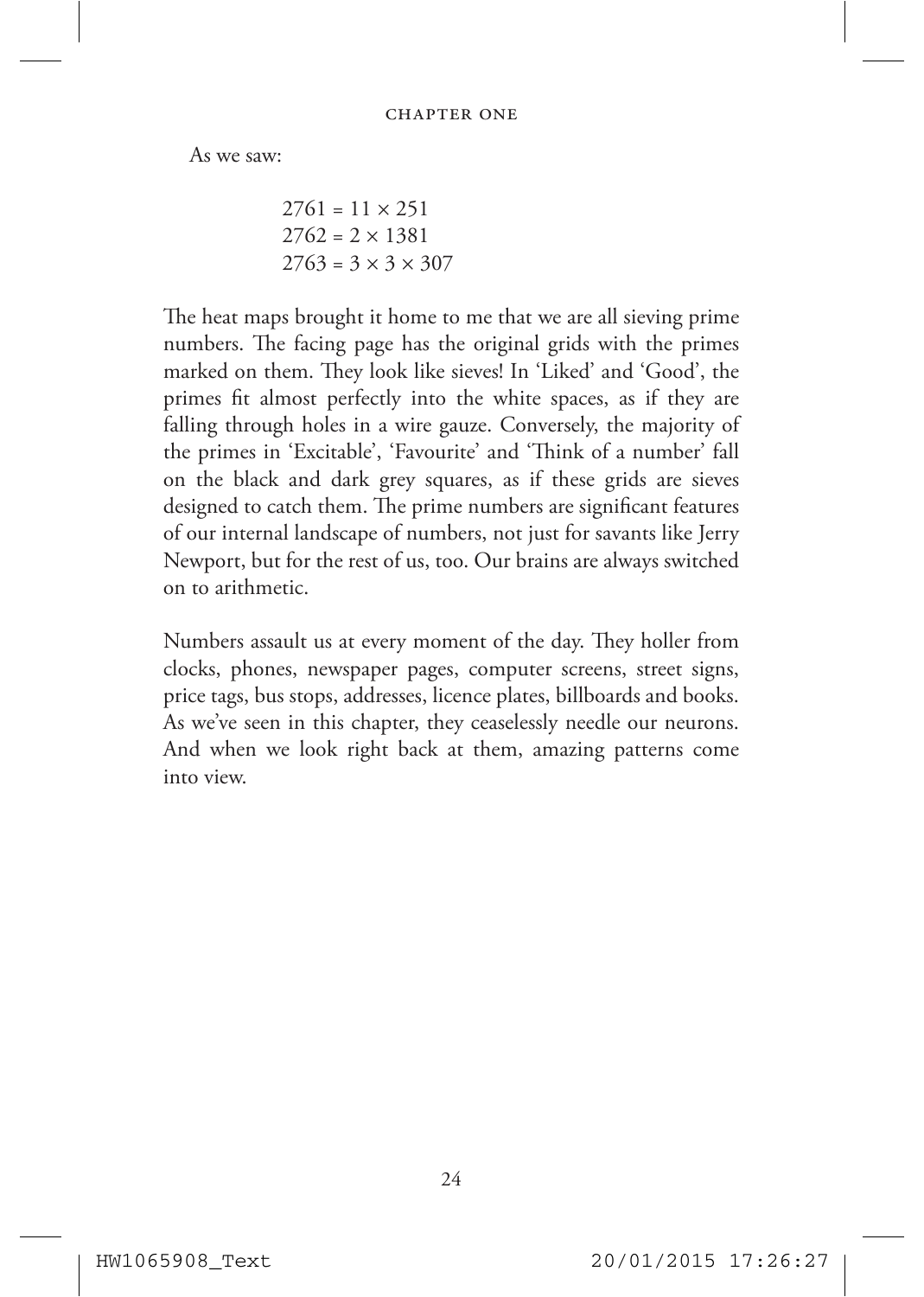As we saw:

$$
2761 = 11 \times 251
$$
  

$$
2762 = 2 \times 1381
$$
  

$$
2763 = 3 \times 3 \times 307
$$

The heat maps brought it home to me that we are all sieving prime numbers. The facing page has the original grids with the primes marked on them. They look like sieves! In 'Liked' and 'Good', the primes fit almost perfectly into the white spaces, as if they are falling through holes in a wire gauze. Conversely, the majority of the primes in 'Excitable', 'Favourite' and 'Think of a number' fall on the black and dark grey squares, as if these grids are sieves designed to catch them. The prime numbers are significant features of our internal landscape of numbers, not just for savants like Jerry Newport, but for the rest of us, too. Our brains are always switched on to arithmetic.

Numbers assault us at every moment of the day. They holler from clocks, phones, newspaper pages, computer screens, street signs, price tags, bus stops, addresses, licence plates, billboards and books. As we've seen in this chapter, they ceaselessly needle our neurons. And when we look right back at them, amazing patterns come into view.